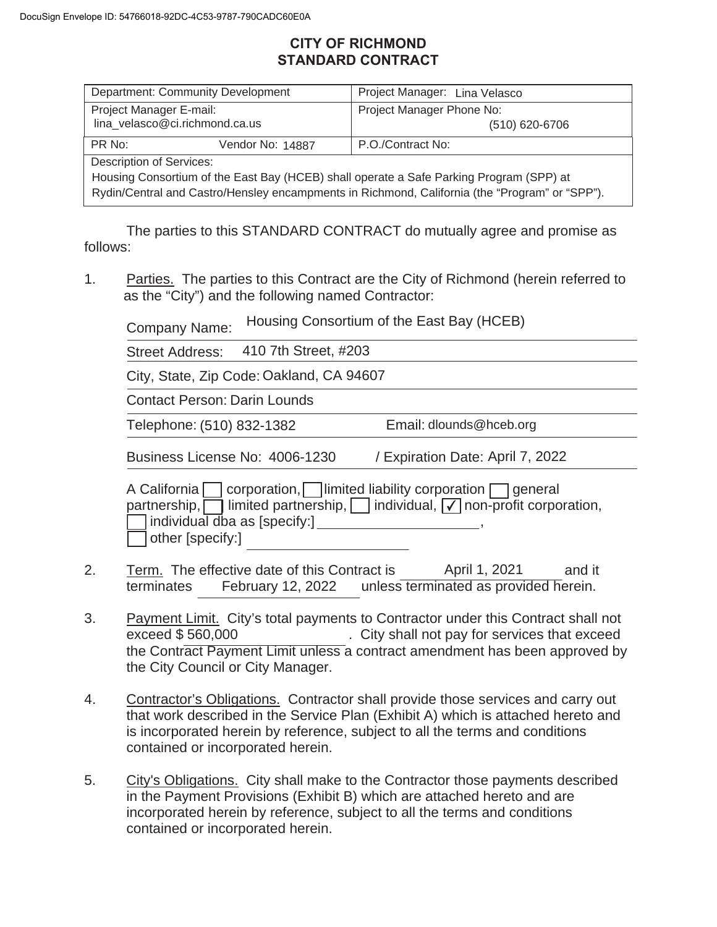# **CITY OF RICHMOND STANDARD CONTRACT**

| <b>Department: Community Development</b>                                                       |  | Project Manager: Lina Velasco |  |  |  |
|------------------------------------------------------------------------------------------------|--|-------------------------------|--|--|--|
| Project Manager E-mail:                                                                        |  | Project Manager Phone No:     |  |  |  |
| lina velasco@ci.richmond.ca.us                                                                 |  | (510) 620-6706                |  |  |  |
| PR No:<br>Vendor No: 14887                                                                     |  | P.O./Contract No:             |  |  |  |
| <b>Description of Services:</b>                                                                |  |                               |  |  |  |
| Housing Consortium of the East Bay (HCEB) shall operate a Safe Parking Program (SPP) at        |  |                               |  |  |  |
| Rydin/Central and Castro/Hensley encampments in Richmond, California (the "Program" or "SPP"). |  |                               |  |  |  |

The parties to this STANDARD CONTRACT do mutually agree and promise as follows:

1. Parties. The parties to this Contract are the City of Richmond (herein referred to as the "City") and the following named Contractor:

Company Name: Housing Consortium of the East Bay (HCEB)

 Street Address: 410 7th Street, #203

City, State, Zip Code: Oakland, CA 94607

Contact Person: Darin Lounds

Telephone: (510) 832-1382 Email: dlounds@hceb.org

Business License No: 4006-1230 / Expiration Date: April 7, 2022

A California  $\Box$  corporation,  $\Box$  limited liability corporation  $\Box$  general partnership,  $\Box$  limited partnership,  $\Box$  individual,  $\Box$  non-profit corporation,  $\vert$  individual dba as  $\vert$ specify: $\vert$  , and individual dba as  $\vert$ specify: $\vert$ other [specify:]

- 2. Term. The effective date of this Contract is April 1, 2021 and it terminates February 12, 2022 unless terminated as provided herein. April 1, 2021
- 3. Payment Limit. City's total payments to Contractor under this Contract shall not . City shall not pay for services that exceed the Contract Payment Limit unless a contract amendment has been approved by the City Council or City Manager. exceed \$560,000
- 4. Contractor's Obligations. Contractor shall provide those services and carry out that work described in the Service Plan (Exhibit A) which is attached hereto and is incorporated herein by reference, subject to all the terms and conditions contained or incorporated herein.
- 5. City's Obligations. City shall make to the Contractor those payments described in the Payment Provisions (Exhibit B) which are attached hereto and are incorporated herein by reference, subject to all the terms and conditions contained or incorporated herein.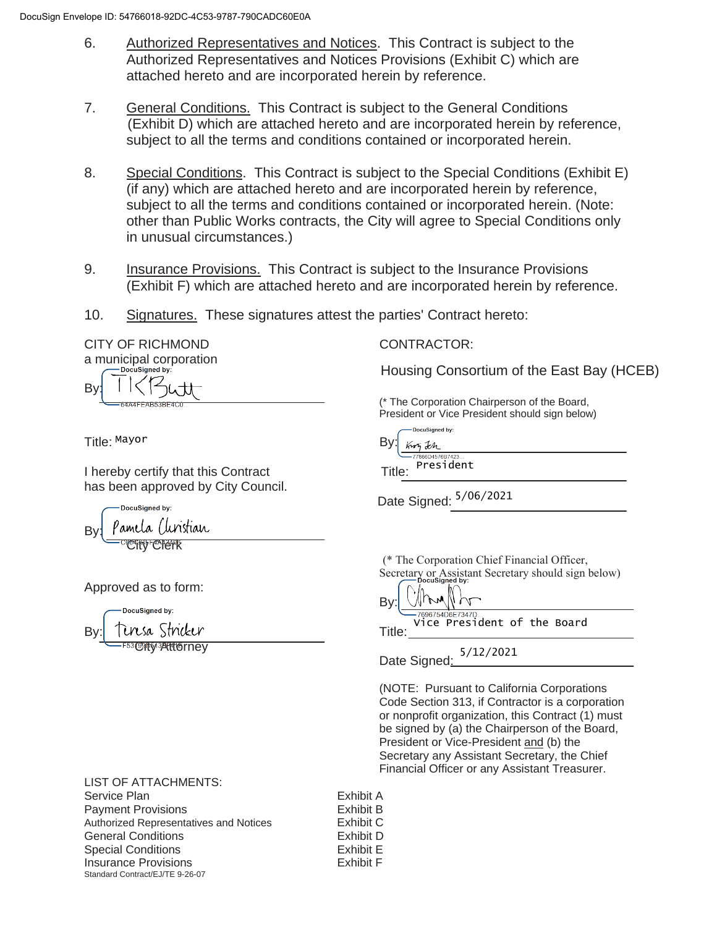- 6. Authorized Representatives and Notices. This Contract is subject to the Authorized Representatives and Notices Provisions (Exhibit C) which are attached hereto and are incorporated herein by reference.
- 7. General Conditions. This Contract is subject to the General Conditions (Exhibit D) which are attached hereto and are incorporated herein by reference, subject to all the terms and conditions contained or incorporated herein.
- 8. Special Conditions. This Contract is subject to the Special Conditions (Exhibit E) (if any) which are attached hereto and are incorporated herein by reference, subject to all the terms and conditions contained or incorporated herein. (Note: other than Public Works contracts, the City will agree to Special Conditions only in unusual circumstances.)
- 9. Insurance Provisions. This Contract is subject to the Insurance Provisions (Exhibit F) which are attached hereto and are incorporated herein by reference.
- 10. Signatures. These signatures attest the parties' Contract hereto:

CITY OF RICHMOND CONTRACTOR: a municipal corporation B١

Title: By: Mayor

I hereby certify that this Contract Title: has been approved by City Council.

DocuSianed by: 'amela (linstian By: **CHARGE CATALOGY** 

Approved as to form:

 $\mathsf{B}$ y: By: Tursa Stricker entering the strike: <sup>-53</sup>©9PM3PH16rnev

Housing Consortium of the East Bay (HCEB)

(\* The Corporation Chairperson of the Board, President or Vice President should sign below)

DocuSigned by: Kury Jch -<br>7866D4576B7423

President

Date Signed:  $5/06/2021$ 

(\* The Corporation Chief Financial Officer, Secretary or Assistant Secretary should sign below)

-7696754D6E7347D...<br>Vice President of the Board

Date Signed: 5/12/2021

 (NOTE: Pursuant to California Corporations Code Section 313, if Contractor is a corporation or nonprofit organization, this Contract (1) must be signed by (a) the Chairperson of the Board, President or Vice-President and (b) the Secretary any Assistant Secretary, the Chief Financial Officer or any Assistant Treasurer.

LIST OF ATTACHMENTS: Service Plan **Exhibit A** Payment Provisions **Exhibit B** Authorized Representatives and Notices<br>
Exhibit C General Conditions **Exhibit D** Special Conditions **Exhibit E** Insurance Provisions **Exhibit F** Standard Contract/EJ/TE 9-26-07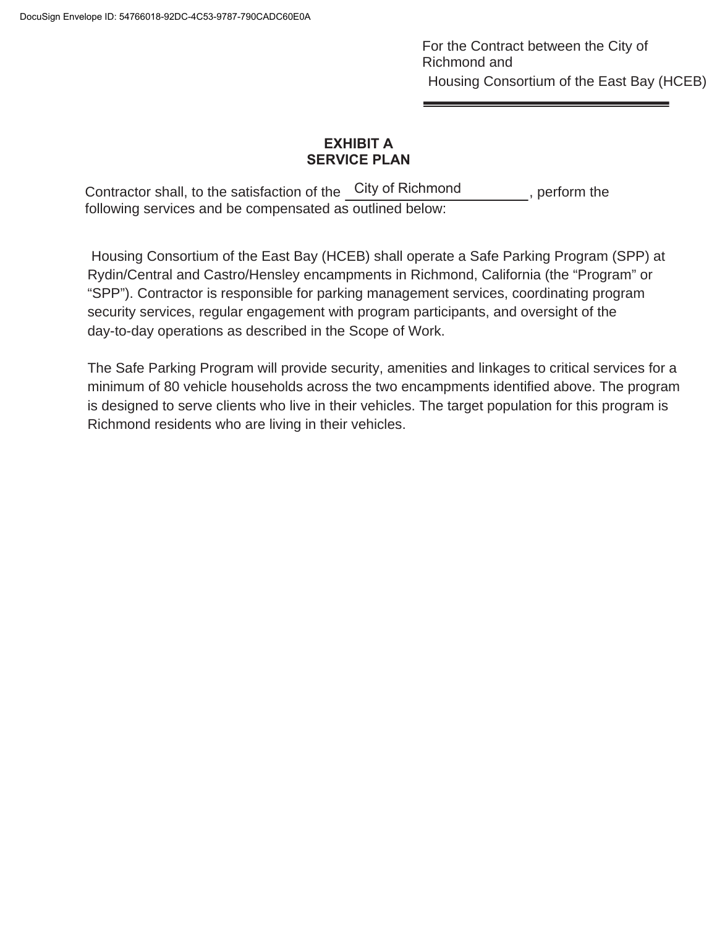For the Contract between the City of Richmond and Housing Consortium of the East Bay (HCEB)

# **EXHIBIT A SERVICE PLAN**

Contractor shall, to the satisfaction of the City of Richmond , perform the following services and be compensated as outlined below:

 Housing Consortium of the East Bay (HCEB) shall operate a Safe Parking Program (SPP) at Rydin/Central and Castro/Hensley encampments in Richmond, California (the "Program" or "SPP"). Contractor is responsible for parking management services, coordinating program security services, regular engagement with program participants, and oversight of the day-to-day operations as described in the Scope of Work.

The Safe Parking Program will provide security, amenities and linkages to critical services for a minimum of 80 vehicle households across the two encampments identified above. The program is designed to serve clients who live in their vehicles. The target population for this program is Richmond residents who are living in their vehicles.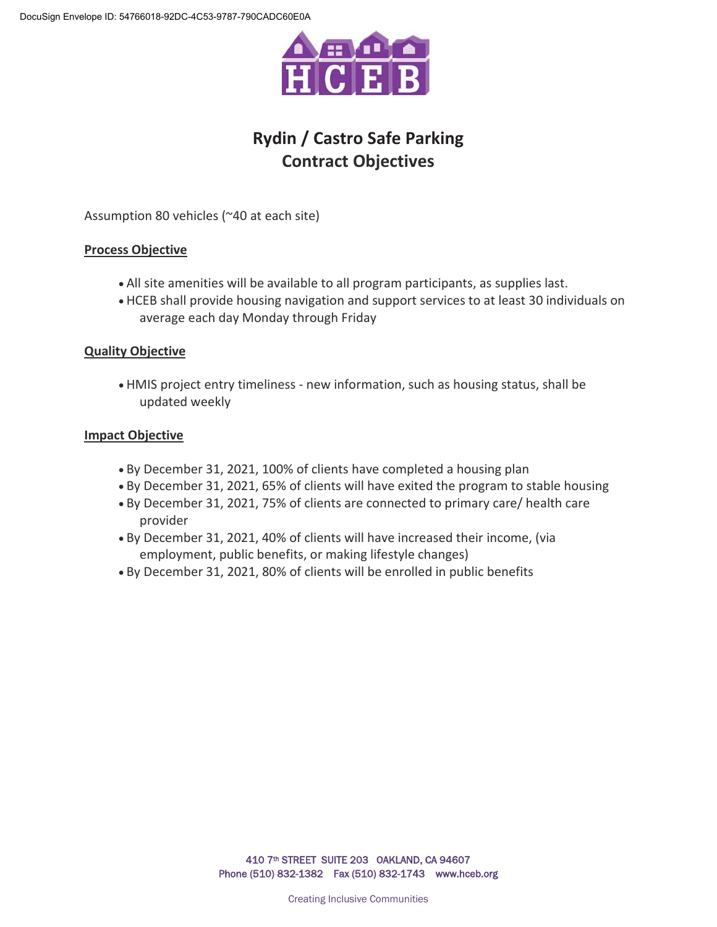

# **Rydin / Castro Safe Parking Contract Objectives**

Assumption 80 vehicles (~40 at each site)

### **Process Objective**

- All site amenities will be available to all program participants, as supplies last.
- x HCEB shall provide housing navigation and support services to at least 30 individuals on average each day Monday through Friday

### **Quality Objective**

x HMIS project entry timeliness - new information, such as housing status, shall be updated weekly

### **Impact Objective**

- By December 31, 2021, 100% of clients have completed a housing plan
- By December 31, 2021, 65% of clients will have exited the program to stable housing
- x By December 31, 2021, 75% of clients are connected to primary care/ health care provider
- x By December 31, 2021, 40% of clients will have increased their income, (via employment, public benefits, or making lifestyle changes)
- x By December 31, 2021, 80% of clients will be enrolled in public benefits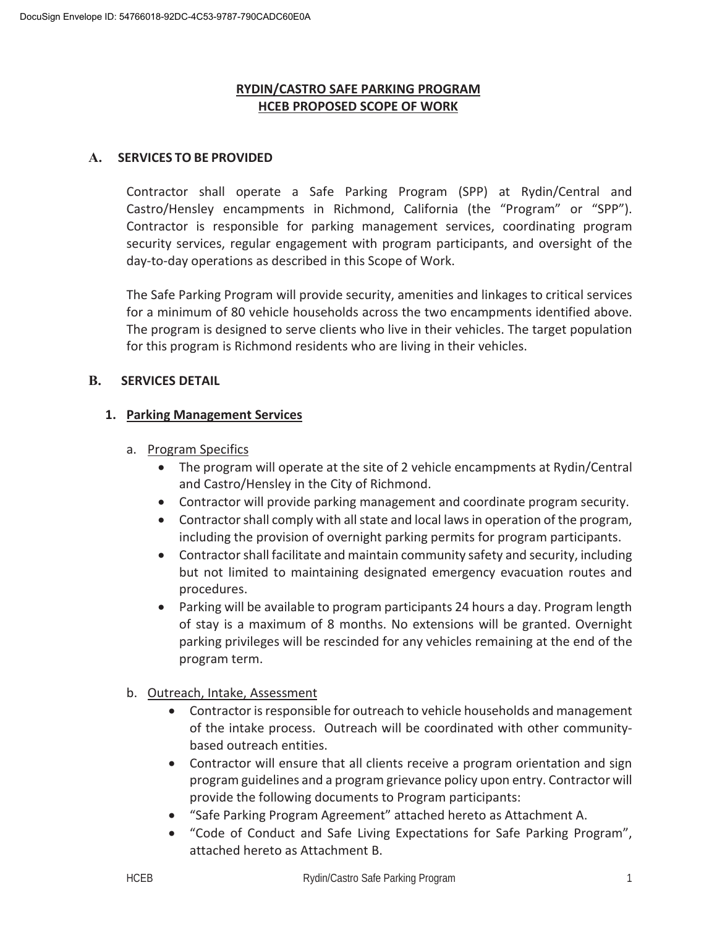## **RYDIN/CASTRO SAFE PARKING PROGRAM HCEB PROPOSED SCOPE OF WORK**

### **A. SERVICES TO BE PROVIDED**

Contractor shall operate a Safe Parking Program (SPP) at Rydin/Central and Castro/Hensley encampments in Richmond, California (the "Program" or "SPP"). Contractor is responsible for parking management services, coordinating program security services, regular engagement with program participants, and oversight of the day-to-day operations as described in this Scope of Work.

The Safe Parking Program will provide security, amenities and linkages to critical services for a minimum of 80 vehicle households across the two encampments identified above. The program is designed to serve clients who live in their vehicles. The target population for this program is Richmond residents who are living in their vehicles.

## **B. SERVICES DETAIL**

## **1. Parking Management Services**

- a. Program Specifics
	- The program will operate at the site of 2 vehicle encampments at Rydin/Central and Castro/Hensley in the City of Richmond.
	- Contractor will provide parking management and coordinate program security.
	- Contractor shall comply with all state and local laws in operation of the program, including the provision of overnight parking permits for program participants.
	- Contractor shall facilitate and maintain community safety and security, including but not limited to maintaining designated emergency evacuation routes and procedures.
	- Parking will be available to program participants 24 hours a day. Program length of stay is a maximum of 8 months. No extensions will be granted. Overnight parking privileges will be rescinded for any vehicles remaining at the end of the program term.
- b. Outreach, Intake, Assessment
	- Contractor is responsible for outreach to vehicle households and management of the intake process. Outreach will be coordinated with other communitybased outreach entities.
	- Contractor will ensure that all clients receive a program orientation and sign program guidelines and a program grievance policy upon entry. Contractor will provide the following documents to Program participants:
	- "Safe Parking Program Agreement" attached hereto as Attachment A.
	- "Code of Conduct and Safe Living Expectations for Safe Parking Program", attached hereto as Attachment B.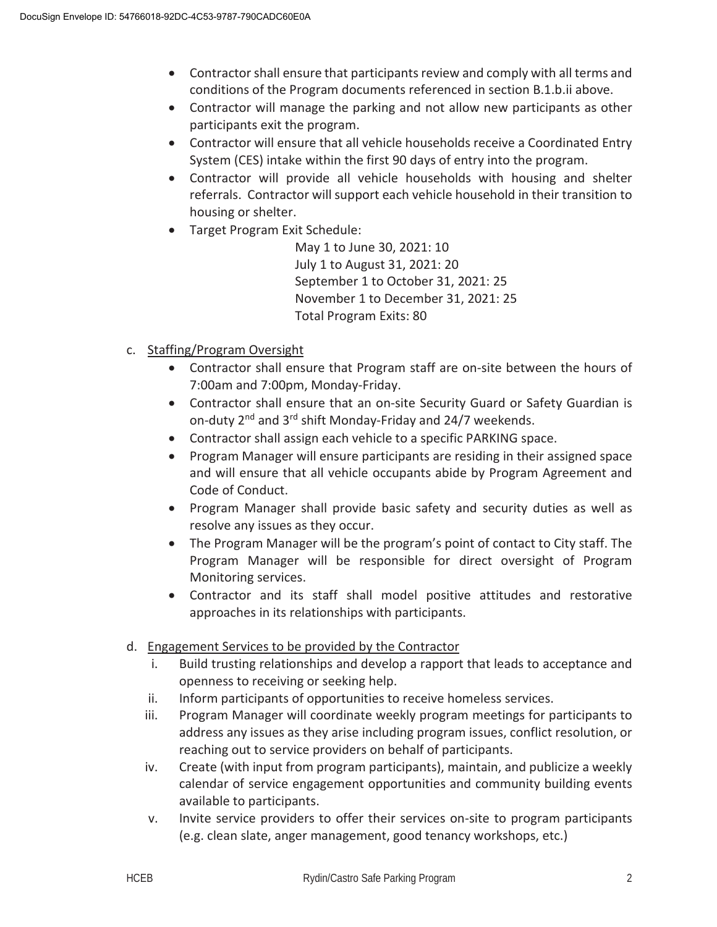- Contractor shall ensure that participants review and comply with all terms and conditions of the Program documents referenced in section B.1.b.ii above.
- Contractor will manage the parking and not allow new participants as other participants exit the program.
- Contractor will ensure that all vehicle households receive a Coordinated Entry System (CES) intake within the first 90 days of entry into the program.
- Contractor will provide all vehicle households with housing and shelter referrals. Contractor will support each vehicle household in their transition to housing or shelter.
- Target Program Exit Schedule:

May 1 to June 30, 2021: 10 July 1 to August 31, 2021: 20 September 1 to October 31, 2021: 25 November 1 to December 31, 2021: 25 Total Program Exits: 80

- c. Staffing/Program Oversight
	- Contractor shall ensure that Program staff are on-site between the hours of 7:00am and 7:00pm, Monday-Friday.
	- Contractor shall ensure that an on-site Security Guard or Safety Guardian is on-duty 2<sup>nd</sup> and 3<sup>rd</sup> shift Monday-Friday and 24/7 weekends.
	- Contractor shall assign each vehicle to a specific PARKING space.
	- Program Manager will ensure participants are residing in their assigned space and will ensure that all vehicle occupants abide by Program Agreement and Code of Conduct.
	- Program Manager shall provide basic safety and security duties as well as resolve any issues as they occur.
	- The Program Manager will be the program's point of contact to City staff. The Program Manager will be responsible for direct oversight of Program Monitoring services.
	- Contractor and its staff shall model positive attitudes and restorative approaches in its relationships with participants.
- d. Engagement Services to be provided by the Contractor
	- i. Build trusting relationships and develop a rapport that leads to acceptance and openness to receiving or seeking help.
	- ii. Inform participants of opportunities to receive homeless services.
	- iii. Program Manager will coordinate weekly program meetings for participants to address any issues as they arise including program issues, conflict resolution, or reaching out to service providers on behalf of participants.
	- iv. Create (with input from program participants), maintain, and publicize a weekly calendar of service engagement opportunities and community building events available to participants.
	- v. Invite service providers to offer their services on-site to program participants (e.g. clean slate, anger management, good tenancy workshops, etc.)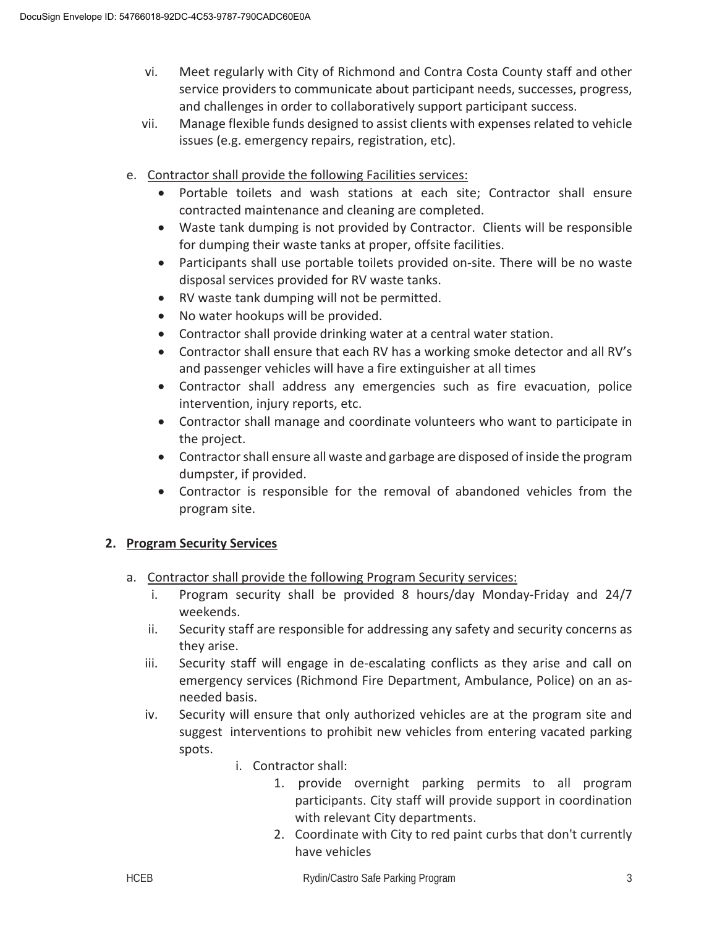- vi. Meet regularly with City of Richmond and Contra Costa County staff and other service providers to communicate about participant needs, successes, progress, and challenges in order to collaboratively support participant success.
- vii. Manage flexible funds designed to assist clients with expenses related to vehicle issues (e.g. emergency repairs, registration, etc).
- e. Contractor shall provide the following Facilities services:
	- Portable toilets and wash stations at each site; Contractor shall ensure contracted maintenance and cleaning are completed.
	- Waste tank dumping is not provided by Contractor. Clients will be responsible for dumping their waste tanks at proper, offsite facilities.
	- Participants shall use portable toilets provided on-site. There will be no waste disposal services provided for RV waste tanks.
	- RV waste tank dumping will not be permitted.
	- No water hookups will be provided.
	- Contractor shall provide drinking water at a central water station.
	- Contractor shall ensure that each RV has a working smoke detector and all RV's and passenger vehicles will have a fire extinguisher at all times
	- Contractor shall address any emergencies such as fire evacuation, police intervention, injury reports, etc.
	- Contractor shall manage and coordinate volunteers who want to participate in the project.
	- Contractor shall ensure all waste and garbage are disposed of inside the program dumpster, if provided.
	- Contractor is responsible for the removal of abandoned vehicles from the program site.

# **2. Program Security Services**

- a. Contractor shall provide the following Program Security services:
	- i. Program security shall be provided 8 hours/day Monday-Friday and 24/7 weekends.
	- ii. Security staff are responsible for addressing any safety and security concerns as they arise.
	- iii. Security staff will engage in de-escalating conflicts as they arise and call on emergency services (Richmond Fire Department, Ambulance, Police) on an asneeded basis.
	- iv. Security will ensure that only authorized vehicles are at the program site and suggest interventions to prohibit new vehicles from entering vacated parking spots.
		- i. Contractor shall:
			- 1. provide overnight parking permits to all program participants. City staff will provide support in coordination with relevant City departments.
			- 2. Coordinate with City to red paint curbs that don't currently have vehicles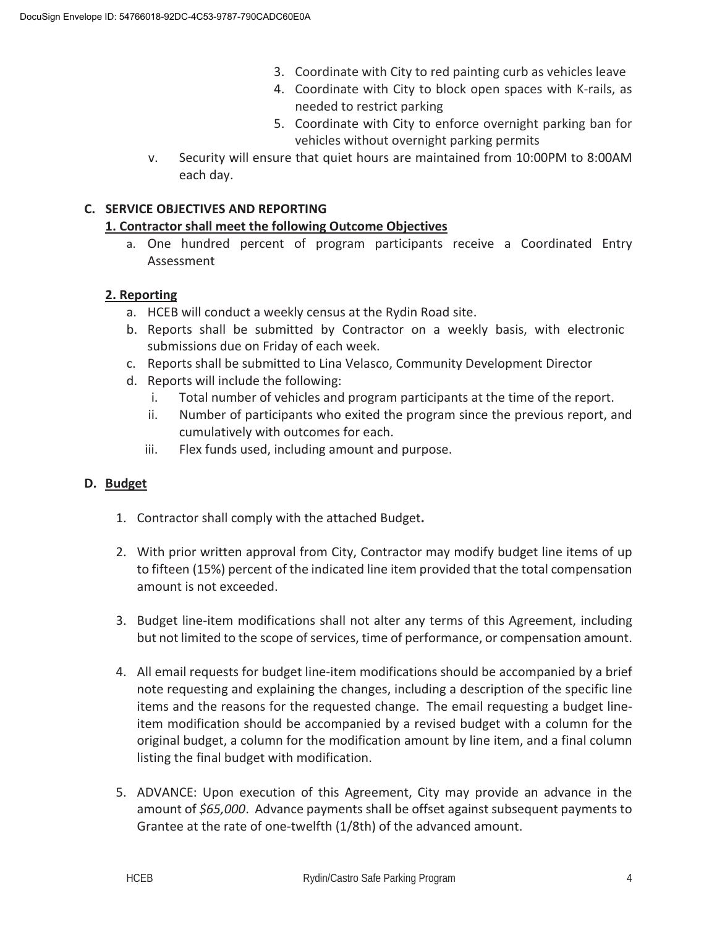- 3. Coordinate with City to red painting curb as vehicles leave
- 4. Coordinate with City to block open spaces with K-rails, as needed to restrict parking
- 5. Coordinate with City to enforce overnight parking ban for vehicles without overnight parking permits
- v. Security will ensure that quiet hours are maintained from 10:00PM to 8:00AM each day.

# **C. SERVICE OBJECTIVES AND REPORTING**

## **1. Contractor shall meet the following Outcome Objectives**

a. One hundred percent of program participants receive a Coordinated Entry Assessment

## **2. Reporting**

- a. HCEB will conduct a weekly census at the Rydin Road site.
- b. Reports shall be submitted by Contractor on a weekly basis, with electronic submissions due on Friday of each week.
- c. Reports shall be submitted to Lina Velasco, Community Development Director
- d. Reports will include the following:
	- i. Total number of vehicles and program participants at the time of the report.
	- ii. Number of participants who exited the program since the previous report, and cumulatively with outcomes for each.
	- iii. Flex funds used, including amount and purpose.

# **D. Budget**

- 1. Contractor shall comply with the attached Budget**.**
- 2. With prior written approval from City, Contractor may modify budget line items of up to fifteen (15%) percent of the indicated line item provided that the total compensation amount is not exceeded.
- 3. Budget line-item modifications shall not alter any terms of this Agreement, including but not limited to the scope of services, time of performance, or compensation amount.
- 4. All email requests for budget line-item modifications should be accompanied by a brief note requesting and explaining the changes, including a description of the specific line items and the reasons for the requested change. The email requesting a budget lineitem modification should be accompanied by a revised budget with a column for the original budget, a column for the modification amount by line item, and a final column listing the final budget with modification.
- 5. ADVANCE: Upon execution of this Agreement, City may provide an advance in the amount of *\$65,000*. Advance payments shall be offset against subsequent payments to Grantee at the rate of one-twelfth (1/8th) of the advanced amount.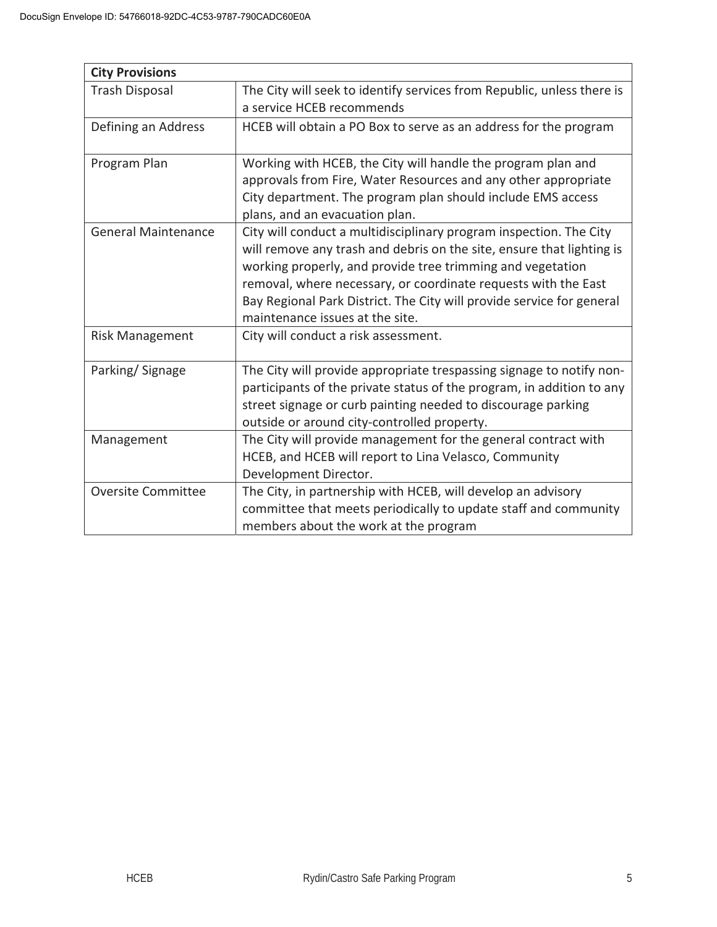| <b>City Provisions</b>     |                                                                        |
|----------------------------|------------------------------------------------------------------------|
| <b>Trash Disposal</b>      | The City will seek to identify services from Republic, unless there is |
|                            | a service HCEB recommends                                              |
| Defining an Address        | HCEB will obtain a PO Box to serve as an address for the program       |
|                            |                                                                        |
| Program Plan               | Working with HCEB, the City will handle the program plan and           |
|                            | approvals from Fire, Water Resources and any other appropriate         |
|                            | City department. The program plan should include EMS access            |
|                            | plans, and an evacuation plan.                                         |
| <b>General Maintenance</b> | City will conduct a multidisciplinary program inspection. The City     |
|                            | will remove any trash and debris on the site, ensure that lighting is  |
|                            | working properly, and provide tree trimming and vegetation             |
|                            | removal, where necessary, or coordinate requests with the East         |
|                            | Bay Regional Park District. The City will provide service for general  |
|                            | maintenance issues at the site.                                        |
| <b>Risk Management</b>     | City will conduct a risk assessment.                                   |
|                            |                                                                        |
| Parking/Signage            | The City will provide appropriate trespassing signage to notify non-   |
|                            | participants of the private status of the program, in addition to any  |
|                            | street signage or curb painting needed to discourage parking           |
|                            | outside or around city-controlled property.                            |
| Management                 | The City will provide management for the general contract with         |
|                            | HCEB, and HCEB will report to Lina Velasco, Community                  |
|                            | Development Director.                                                  |
| <b>Oversite Committee</b>  | The City, in partnership with HCEB, will develop an advisory           |
|                            | committee that meets periodically to update staff and community        |
|                            | members about the work at the program                                  |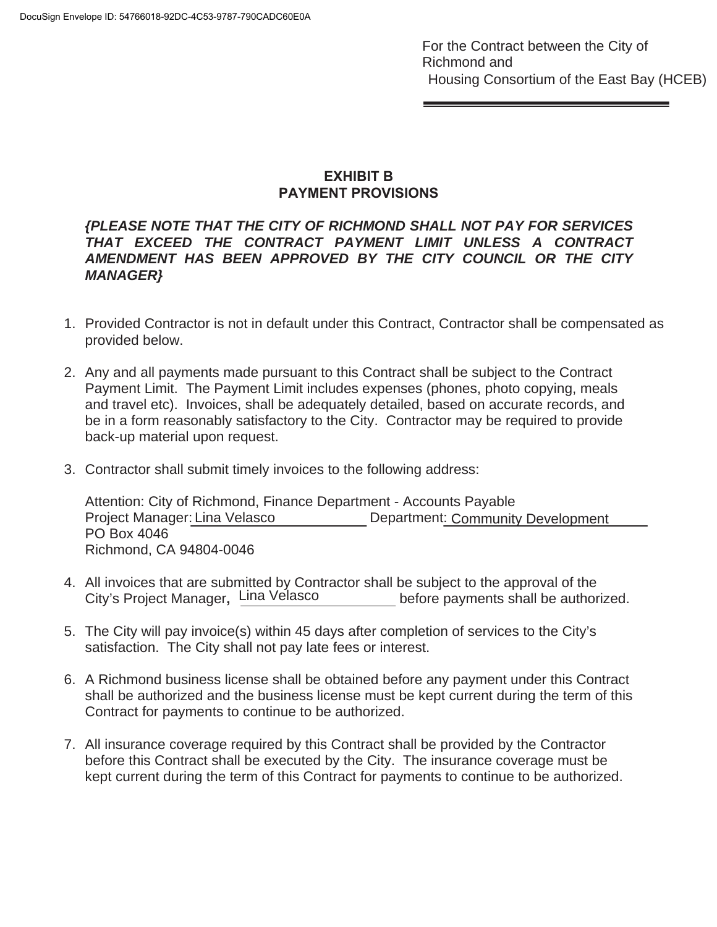# **EXHIBIT B PAYMENT PROVISIONS**

# *{PLEASE NOTE THAT THE CITY OF RICHMOND SHALL NOT PAY FOR SERVICES THAT EXCEED THE CONTRACT PAYMENT LIMIT UNLESS A CONTRACT AMENDMENT HAS BEEN APPROVED BY THE CITY COUNCIL OR THE CITY MANAGER}*

- 1. Provided Contractor is not in default under this Contract, Contractor shall be compensated as provided below.
- 2. Any and all payments made pursuant to this Contract shall be subject to the Contract Payment Limit. The Payment Limit includes expenses (phones, photo copying, meals and travel etc). Invoices, shall be adequately detailed, based on accurate records, and be in a form reasonably satisfactory to the City. Contractor may be required to provide back-up material upon request.
- 3. Contractor shall submit timely invoices to the following address:

Attention: City of Richmond, Finance Department - Accounts Payable Project Manager: Lina Velasco **Canada Experiment**: PO Box 4046 Richmond, CA 94804-0046 Department: Community Development

- 4. All invoices that are submitted by Contractor shall be subject to the approval of the before payments shall be authorized. City's Project Manager, Lina Velasco
- 5. The City will pay invoice(s) within 45 days after completion of services to the City's satisfaction. The City shall not pay late fees or interest.
- 6. A Richmond business license shall be obtained before any payment under this Contract shall be authorized and the business license must be kept current during the term of this Contract for payments to continue to be authorized.
- 7. All insurance coverage required by this Contract shall be provided by the Contractor before this Contract shall be executed by the City. The insurance coverage must be kept current during the term of this Contract for payments to continue to be authorized.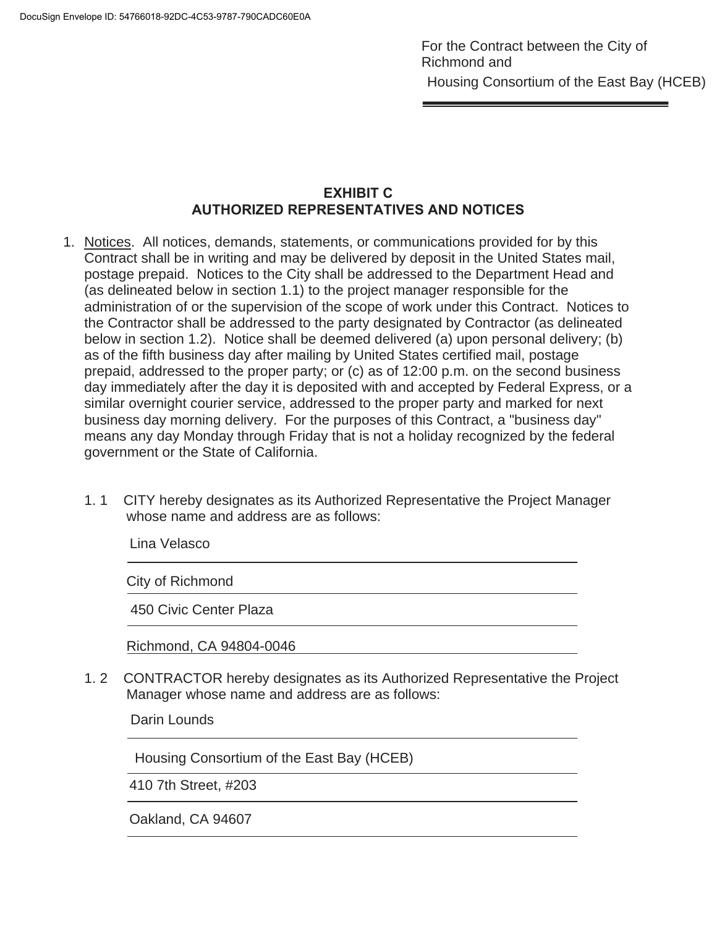# **EXHIBIT C AUTHORIZED REPRESENTATIVES AND NOTICES**

- 1. Notices. All notices, demands, statements, or communications provided for by this Contract shall be in writing and may be delivered by deposit in the United States mail, postage prepaid. Notices to the City shall be addressed to the Department Head and (as delineated below in section 1.1) to the project manager responsible for the administration of or the supervision of the scope of work under this Contract. Notices to the Contractor shall be addressed to the party designated by Contractor (as delineated below in section 1.2). Notice shall be deemed delivered (a) upon personal delivery; (b) as of the fifth business day after mailing by United States certified mail, postage prepaid, addressed to the proper party; or (c) as of 12:00 p.m. on the second business day immediately after the day it is deposited with and accepted by Federal Express, or a similar overnight courier service, addressed to the proper party and marked for next business day morning delivery. For the purposes of this Contract, a "business day" means any day Monday through Friday that is not a holiday recognized by the federal government or the State of California.
	- 1. 1 CITY hereby designates as its Authorized Representative the Project Manager whose name and address are as follows:

Lina Velasco

City of Richmond

450 Civic Center Plaza

Richmond, CA 94804-0046

1. 2 CONTRACTOR hereby designates as its Authorized Representative the Project Manager whose name and address are as follows:

Darin Lounds

Ī

Housing Consortium of the East Bay (HCEB)

410 7th Street, #203

Oakland, CA 94607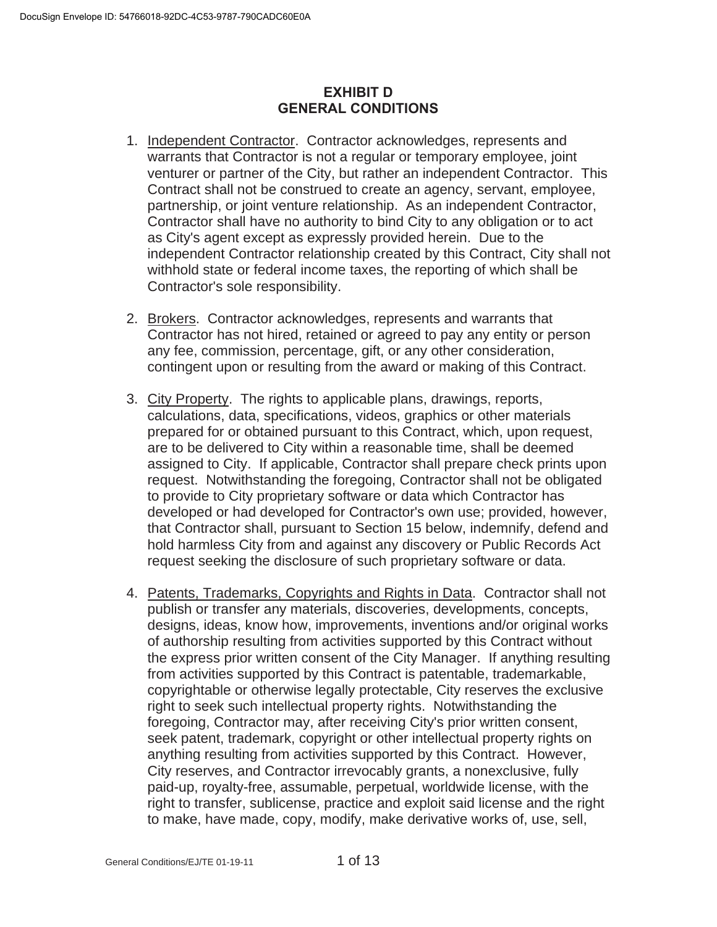# **EXHIBIT D GENERAL CONDITIONS**

- 1. Independent Contractor. Contractor acknowledges, represents and warrants that Contractor is not a regular or temporary employee, joint venturer or partner of the City, but rather an independent Contractor. This Contract shall not be construed to create an agency, servant, employee, partnership, or joint venture relationship. As an independent Contractor, Contractor shall have no authority to bind City to any obligation or to act as City's agent except as expressly provided herein. Due to the independent Contractor relationship created by this Contract, City shall not withhold state or federal income taxes, the reporting of which shall be Contractor's sole responsibility.
- 2. Brokers. Contractor acknowledges, represents and warrants that Contractor has not hired, retained or agreed to pay any entity or person any fee, commission, percentage, gift, or any other consideration, contingent upon or resulting from the award or making of this Contract.
- 3. City Property. The rights to applicable plans, drawings, reports, calculations, data, specifications, videos, graphics or other materials prepared for or obtained pursuant to this Contract, which, upon request, are to be delivered to City within a reasonable time, shall be deemed assigned to City. If applicable, Contractor shall prepare check prints upon request. Notwithstanding the foregoing, Contractor shall not be obligated to provide to City proprietary software or data which Contractor has developed or had developed for Contractor's own use; provided, however, that Contractor shall, pursuant to Section 15 below, indemnify, defend and hold harmless City from and against any discovery or Public Records Act request seeking the disclosure of such proprietary software or data.
- 4. Patents, Trademarks, Copyrights and Rights in Data. Contractor shall not publish or transfer any materials, discoveries, developments, concepts, designs, ideas, know how, improvements, inventions and/or original works of authorship resulting from activities supported by this Contract without the express prior written consent of the City Manager. If anything resulting from activities supported by this Contract is patentable, trademarkable, copyrightable or otherwise legally protectable, City reserves the exclusive right to seek such intellectual property rights. Notwithstanding the foregoing, Contractor may, after receiving City's prior written consent, seek patent, trademark, copyright or other intellectual property rights on anything resulting from activities supported by this Contract. However, City reserves, and Contractor irrevocably grants, a nonexclusive, fully paid-up, royalty-free, assumable, perpetual, worldwide license, with the right to transfer, sublicense, practice and exploit said license and the right to make, have made, copy, modify, make derivative works of, use, sell,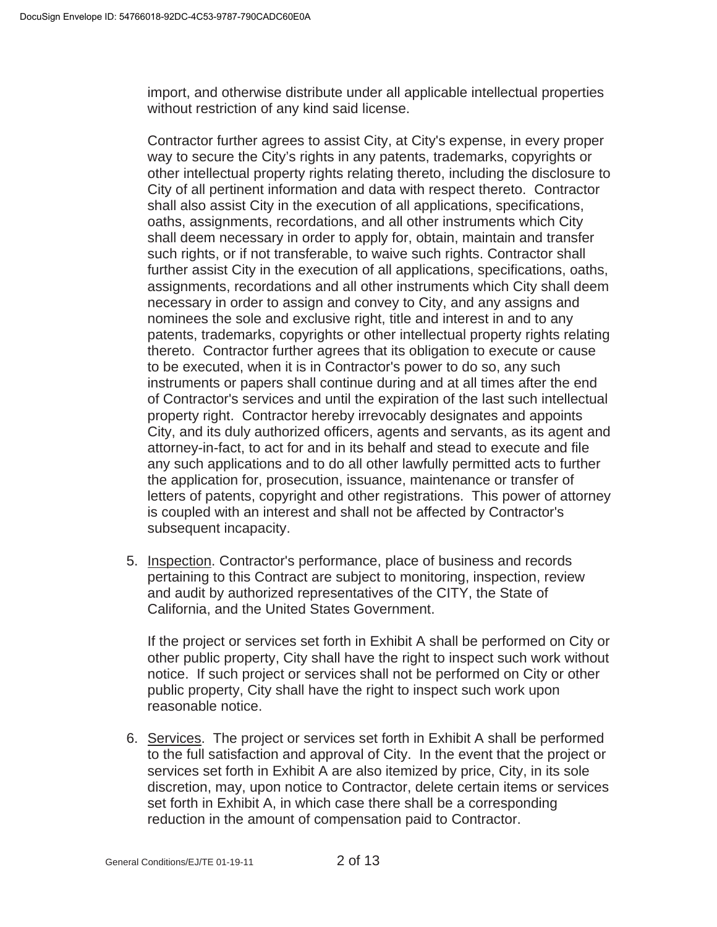import, and otherwise distribute under all applicable intellectual properties without restriction of any kind said license.

Contractor further agrees to assist City, at City's expense, in every proper way to secure the City's rights in any patents, trademarks, copyrights or other intellectual property rights relating thereto, including the disclosure to City of all pertinent information and data with respect thereto. Contractor shall also assist City in the execution of all applications, specifications, oaths, assignments, recordations, and all other instruments which City shall deem necessary in order to apply for, obtain, maintain and transfer such rights, or if not transferable, to waive such rights. Contractor shall further assist City in the execution of all applications, specifications, oaths, assignments, recordations and all other instruments which City shall deem necessary in order to assign and convey to City, and any assigns and nominees the sole and exclusive right, title and interest in and to any patents, trademarks, copyrights or other intellectual property rights relating thereto. Contractor further agrees that its obligation to execute or cause to be executed, when it is in Contractor's power to do so, any such instruments or papers shall continue during and at all times after the end of Contractor's services and until the expiration of the last such intellectual property right. Contractor hereby irrevocably designates and appoints City, and its duly authorized officers, agents and servants, as its agent and attorney-in-fact, to act for and in its behalf and stead to execute and file any such applications and to do all other lawfully permitted acts to further the application for, prosecution, issuance, maintenance or transfer of letters of patents, copyright and other registrations. This power of attorney is coupled with an interest and shall not be affected by Contractor's subsequent incapacity.

5. Inspection. Contractor's performance, place of business and records pertaining to this Contract are subject to monitoring, inspection, review and audit by authorized representatives of the CITY, the State of California, and the United States Government.

If the project or services set forth in Exhibit A shall be performed on City or other public property, City shall have the right to inspect such work without notice. If such project or services shall not be performed on City or other public property, City shall have the right to inspect such work upon reasonable notice.

6. Services. The project or services set forth in Exhibit A shall be performed to the full satisfaction and approval of City. In the event that the project or services set forth in Exhibit A are also itemized by price, City, in its sole discretion, may, upon notice to Contractor, delete certain items or services set forth in Exhibit A, in which case there shall be a corresponding reduction in the amount of compensation paid to Contractor.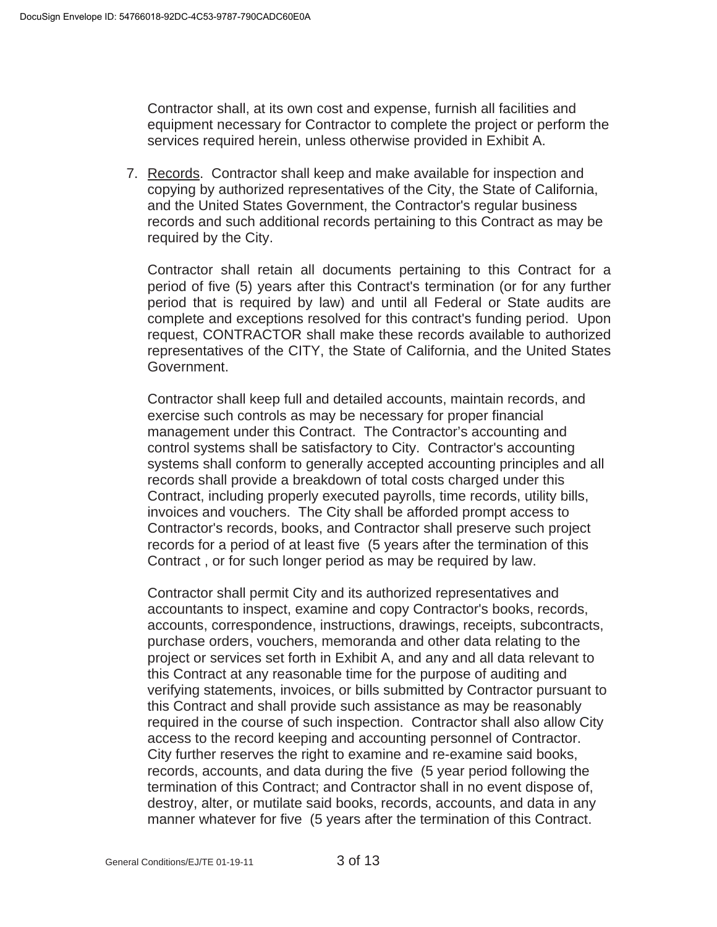Contractor shall, at its own cost and expense, furnish all facilities and equipment necessary for Contractor to complete the project or perform the services required herein, unless otherwise provided in Exhibit A.

7. Records. Contractor shall keep and make available for inspection and copying by authorized representatives of the City, the State of California, and the United States Government, the Contractor's regular business records and such additional records pertaining to this Contract as may be required by the City.

Contractor shall retain all documents pertaining to this Contract for a period of five (5) years after this Contract's termination (or for any further period that is required by law) and until all Federal or State audits are complete and exceptions resolved for this contract's funding period. Upon request, CONTRACTOR shall make these records available to authorized representatives of the CITY, the State of California, and the United States Government.

Contractor shall keep full and detailed accounts, maintain records, and exercise such controls as may be necessary for proper financial management under this Contract. The Contractor's accounting and control systems shall be satisfactory to City. Contractor's accounting systems shall conform to generally accepted accounting principles and all records shall provide a breakdown of total costs charged under this Contract, including properly executed payrolls, time records, utility bills, invoices and vouchers. The City shall be afforded prompt access to Contractor's records, books, and Contractor shall preserve such project records for a period of at least five (5 years after the termination of this Contract , or for such longer period as may be required by law.

Contractor shall permit City and its authorized representatives and accountants to inspect, examine and copy Contractor's books, records, accounts, correspondence, instructions, drawings, receipts, subcontracts, purchase orders, vouchers, memoranda and other data relating to the project or services set forth in Exhibit A, and any and all data relevant to this Contract at any reasonable time for the purpose of auditing and verifying statements, invoices, or bills submitted by Contractor pursuant to this Contract and shall provide such assistance as may be reasonably required in the course of such inspection. Contractor shall also allow City access to the record keeping and accounting personnel of Contractor. City further reserves the right to examine and re-examine said books, records, accounts, and data during the five (5 year period following the termination of this Contract; and Contractor shall in no event dispose of, destroy, alter, or mutilate said books, records, accounts, and data in any manner whatever for five (5 years after the termination of this Contract.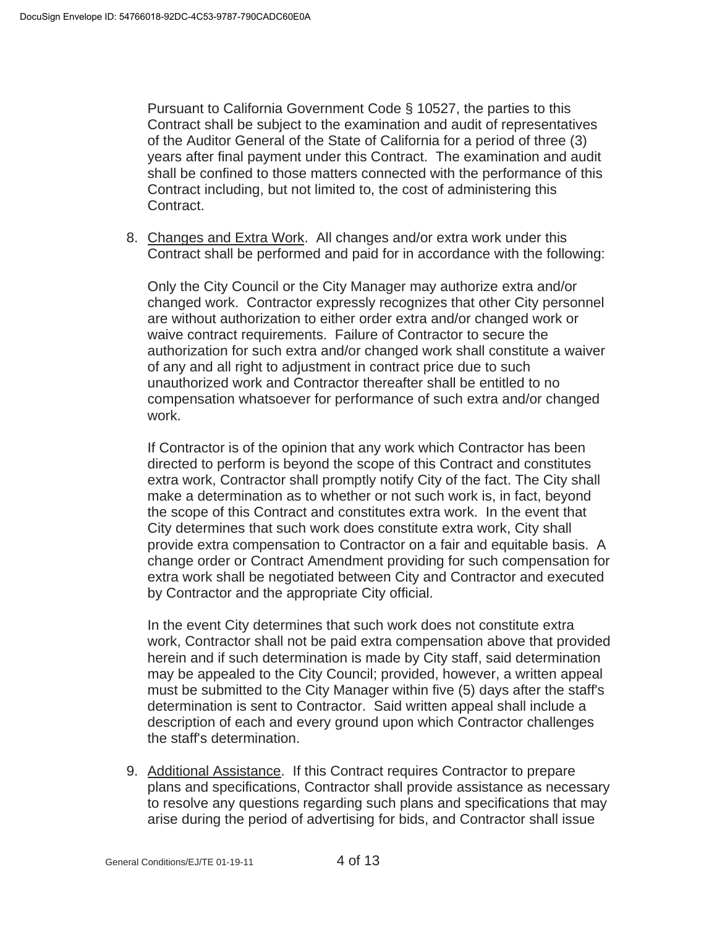Pursuant to California Government Code § 10527, the parties to this Contract shall be subject to the examination and audit of representatives of the Auditor General of the State of California for a period of three (3) years after final payment under this Contract. The examination and audit shall be confined to those matters connected with the performance of this Contract including, but not limited to, the cost of administering this Contract.

8. Changes and Extra Work. All changes and/or extra work under this Contract shall be performed and paid for in accordance with the following:

Only the City Council or the City Manager may authorize extra and/or changed work. Contractor expressly recognizes that other City personnel are without authorization to either order extra and/or changed work or waive contract requirements. Failure of Contractor to secure the authorization for such extra and/or changed work shall constitute a waiver of any and all right to adjustment in contract price due to such unauthorized work and Contractor thereafter shall be entitled to no compensation whatsoever for performance of such extra and/or changed work.

If Contractor is of the opinion that any work which Contractor has been directed to perform is beyond the scope of this Contract and constitutes extra work, Contractor shall promptly notify City of the fact. The City shall make a determination as to whether or not such work is, in fact, beyond the scope of this Contract and constitutes extra work. In the event that City determines that such work does constitute extra work, City shall provide extra compensation to Contractor on a fair and equitable basis. A change order or Contract Amendment providing for such compensation for extra work shall be negotiated between City and Contractor and executed by Contractor and the appropriate City official.

In the event City determines that such work does not constitute extra work, Contractor shall not be paid extra compensation above that provided herein and if such determination is made by City staff, said determination may be appealed to the City Council; provided, however, a written appeal must be submitted to the City Manager within five (5) days after the staff's determination is sent to Contractor. Said written appeal shall include a description of each and every ground upon which Contractor challenges the staff's determination.

9. Additional Assistance. If this Contract requires Contractor to prepare plans and specifications, Contractor shall provide assistance as necessary to resolve any questions regarding such plans and specifications that may arise during the period of advertising for bids, and Contractor shall issue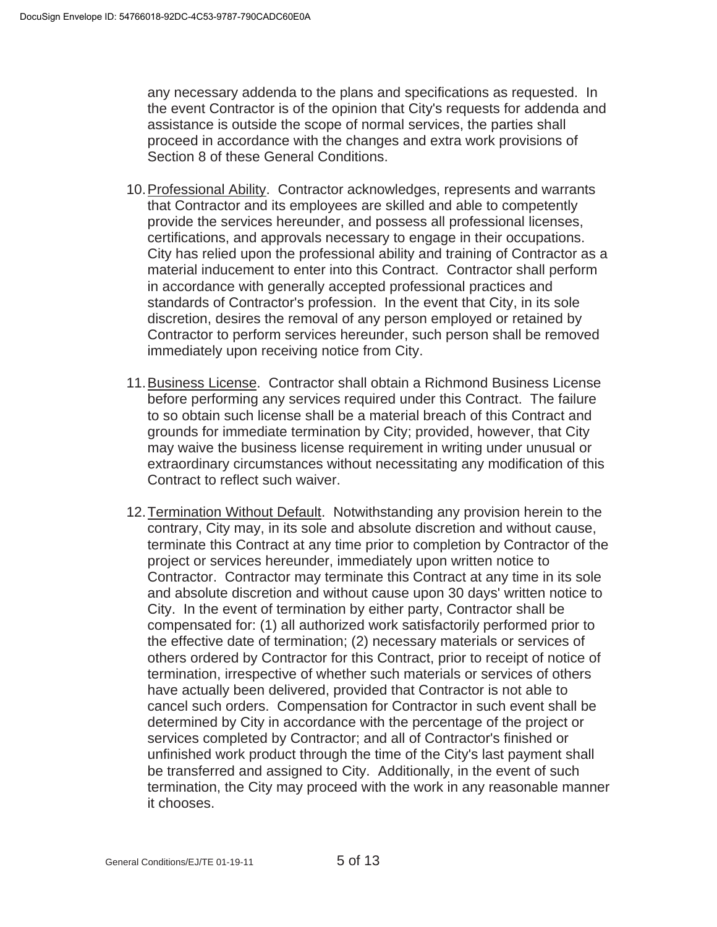any necessary addenda to the plans and specifications as requested. In the event Contractor is of the opinion that City's requests for addenda and assistance is outside the scope of normal services, the parties shall proceed in accordance with the changes and extra work provisions of Section 8 of these General Conditions.

- 10. Professional Ability. Contractor acknowledges, represents and warrants that Contractor and its employees are skilled and able to competently provide the services hereunder, and possess all professional licenses, certifications, and approvals necessary to engage in their occupations. City has relied upon the professional ability and training of Contractor as a material inducement to enter into this Contract. Contractor shall perform in accordance with generally accepted professional practices and standards of Contractor's profession. In the event that City, in its sole discretion, desires the removal of any person employed or retained by Contractor to perform services hereunder, such person shall be removed immediately upon receiving notice from City.
- 11. Business License. Contractor shall obtain a Richmond Business License before performing any services required under this Contract. The failure to so obtain such license shall be a material breach of this Contract and grounds for immediate termination by City; provided, however, that City may waive the business license requirement in writing under unusual or extraordinary circumstances without necessitating any modification of this Contract to reflect such waiver.
- 12. Termination Without Default. Notwithstanding any provision herein to the contrary, City may, in its sole and absolute discretion and without cause, terminate this Contract at any time prior to completion by Contractor of the project or services hereunder, immediately upon written notice to Contractor. Contractor may terminate this Contract at any time in its sole and absolute discretion and without cause upon 30 days' written notice to City. In the event of termination by either party, Contractor shall be compensated for: (1) all authorized work satisfactorily performed prior to the effective date of termination; (2) necessary materials or services of others ordered by Contractor for this Contract, prior to receipt of notice of termination, irrespective of whether such materials or services of others have actually been delivered, provided that Contractor is not able to cancel such orders. Compensation for Contractor in such event shall be determined by City in accordance with the percentage of the project or services completed by Contractor; and all of Contractor's finished or unfinished work product through the time of the City's last payment shall be transferred and assigned to City. Additionally, in the event of such termination, the City may proceed with the work in any reasonable manner it chooses.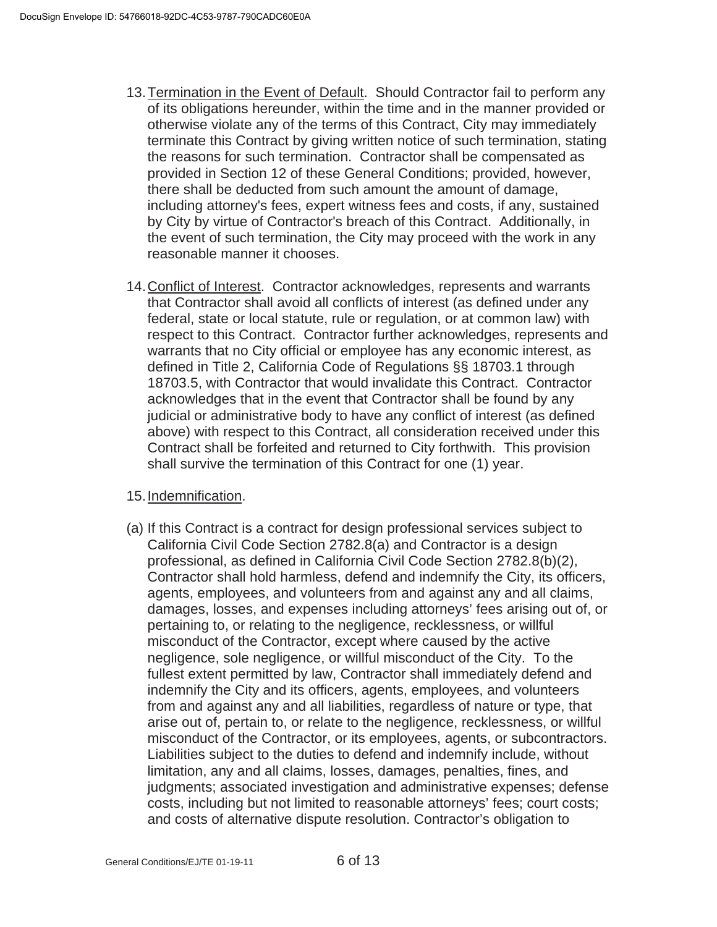- 13. Termination in the Event of Default. Should Contractor fail to perform any of its obligations hereunder, within the time and in the manner provided or otherwise violate any of the terms of this Contract, City may immediately terminate this Contract by giving written notice of such termination, stating the reasons for such termination. Contractor shall be compensated as provided in Section 12 of these General Conditions; provided, however, there shall be deducted from such amount the amount of damage, including attorney's fees, expert witness fees and costs, if any, sustained by City by virtue of Contractor's breach of this Contract. Additionally, in the event of such termination, the City may proceed with the work in any reasonable manner it chooses.
- 14. Conflict of Interest. Contractor acknowledges, represents and warrants that Contractor shall avoid all conflicts of interest (as defined under any federal, state or local statute, rule or regulation, or at common law) with respect to this Contract. Contractor further acknowledges, represents and warrants that no City official or employee has any economic interest, as defined in Title 2, California Code of Regulations §§ 18703.1 through 18703.5, with Contractor that would invalidate this Contract. Contractor acknowledges that in the event that Contractor shall be found by any judicial or administrative body to have any conflict of interest (as defined above) with respect to this Contract, all consideration received under this Contract shall be forfeited and returned to City forthwith. This provision shall survive the termination of this Contract for one (1) year.

# 15. Indemnification.

(a) If this Contract is a contract for design professional services subject to California Civil Code Section 2782.8(a) and Contractor is a design professional, as defined in California Civil Code Section 2782.8(b)(2), Contractor shall hold harmless, defend and indemnify the City, its officers, agents, employees, and volunteers from and against any and all claims, damages, losses, and expenses including attorneys' fees arising out of, or pertaining to, or relating to the negligence, recklessness, or willful misconduct of the Contractor, except where caused by the active negligence, sole negligence, or willful misconduct of the City. To the fullest extent permitted by law, Contractor shall immediately defend and indemnify the City and its officers, agents, employees, and volunteers from and against any and all liabilities, regardless of nature or type, that arise out of, pertain to, or relate to the negligence, recklessness, or willful misconduct of the Contractor, or its employees, agents, or subcontractors. Liabilities subject to the duties to defend and indemnify include, without limitation, any and all claims, losses, damages, penalties, fines, and judgments; associated investigation and administrative expenses; defense costs, including but not limited to reasonable attorneys' fees; court costs; and costs of alternative dispute resolution. Contractor's obligation to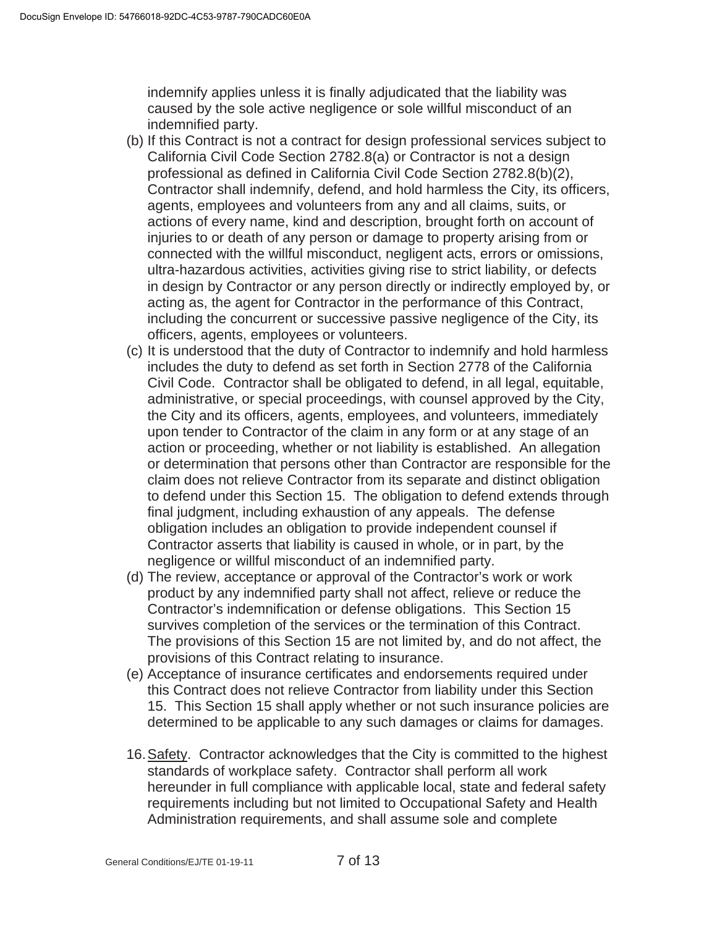indemnify applies unless it is finally adjudicated that the liability was caused by the sole active negligence or sole willful misconduct of an indemnified party.

- (b) If this Contract is not a contract for design professional services subject to California Civil Code Section 2782.8(a) or Contractor is not a design professional as defined in California Civil Code Section 2782.8(b)(2), Contractor shall indemnify, defend, and hold harmless the City, its officers, agents, employees and volunteers from any and all claims, suits, or actions of every name, kind and description, brought forth on account of injuries to or death of any person or damage to property arising from or connected with the willful misconduct, negligent acts, errors or omissions, ultra-hazardous activities, activities giving rise to strict liability, or defects in design by Contractor or any person directly or indirectly employed by, or acting as, the agent for Contractor in the performance of this Contract, including the concurrent or successive passive negligence of the City, its officers, agents, employees or volunteers.
- (c) It is understood that the duty of Contractor to indemnify and hold harmless includes the duty to defend as set forth in Section 2778 of the California Civil Code. Contractor shall be obligated to defend, in all legal, equitable, administrative, or special proceedings, with counsel approved by the City, the City and its officers, agents, employees, and volunteers, immediately upon tender to Contractor of the claim in any form or at any stage of an action or proceeding, whether or not liability is established. An allegation or determination that persons other than Contractor are responsible for the claim does not relieve Contractor from its separate and distinct obligation to defend under this Section 15. The obligation to defend extends through final judgment, including exhaustion of any appeals. The defense obligation includes an obligation to provide independent counsel if Contractor asserts that liability is caused in whole, or in part, by the negligence or willful misconduct of an indemnified party.
- (d) The review, acceptance or approval of the Contractor's work or work product by any indemnified party shall not affect, relieve or reduce the Contractor's indemnification or defense obligations. This Section 15 survives completion of the services or the termination of this Contract. The provisions of this Section 15 are not limited by, and do not affect, the provisions of this Contract relating to insurance.
- (e) Acceptance of insurance certificates and endorsements required under this Contract does not relieve Contractor from liability under this Section 15. This Section 15 shall apply whether or not such insurance policies are determined to be applicable to any such damages or claims for damages.
- 16. Safety. Contractor acknowledges that the City is committed to the highest standards of workplace safety. Contractor shall perform all work hereunder in full compliance with applicable local, state and federal safety requirements including but not limited to Occupational Safety and Health Administration requirements, and shall assume sole and complete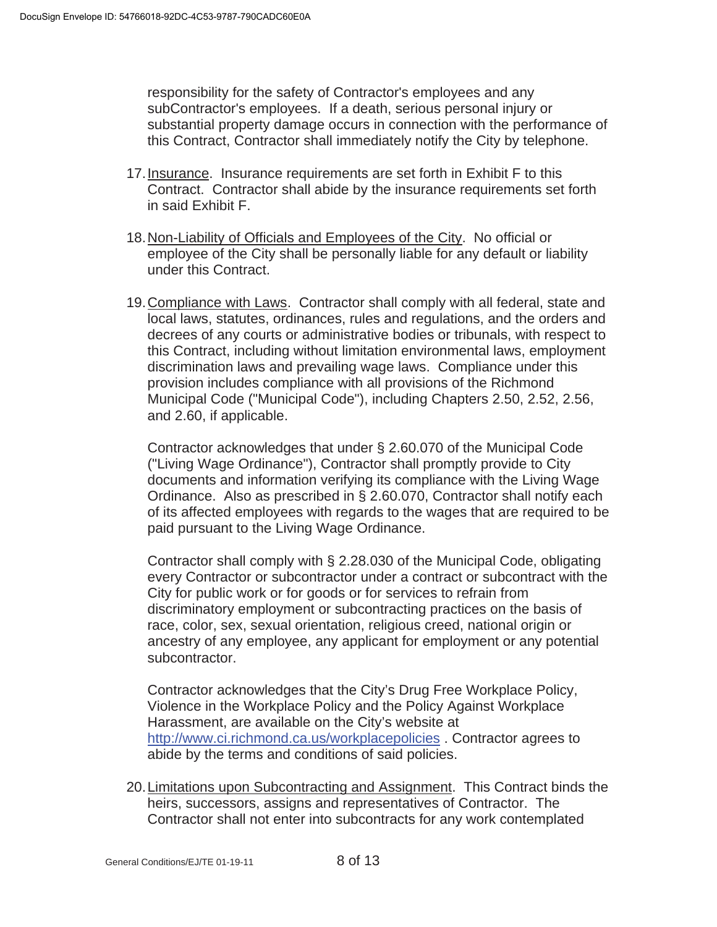responsibility for the safety of Contractor's employees and any subContractor's employees. If a death, serious personal injury or substantial property damage occurs in connection with the performance of this Contract, Contractor shall immediately notify the City by telephone.

- 17. Insurance. Insurance requirements are set forth in Exhibit F to this Contract. Contractor shall abide by the insurance requirements set forth in said Exhibit F.
- 18. Non-Liability of Officials and Employees of the City. No official or employee of the City shall be personally liable for any default or liability under this Contract.
- 19. Compliance with Laws. Contractor shall comply with all federal, state and local laws, statutes, ordinances, rules and regulations, and the orders and decrees of any courts or administrative bodies or tribunals, with respect to this Contract, including without limitation environmental laws, employment discrimination laws and prevailing wage laws. Compliance under this provision includes compliance with all provisions of the Richmond Municipal Code ("Municipal Code"), including Chapters 2.50, 2.52, 2.56, and 2.60, if applicable.

Contractor acknowledges that under § 2.60.070 of the Municipal Code ("Living Wage Ordinance"), Contractor shall promptly provide to City documents and information verifying its compliance with the Living Wage Ordinance. Also as prescribed in § 2.60.070, Contractor shall notify each of its affected employees with regards to the wages that are required to be paid pursuant to the Living Wage Ordinance.

Contractor shall comply with § 2.28.030 of the Municipal Code, obligating every Contractor or subcontractor under a contract or subcontract with the City for public work or for goods or for services to refrain from discriminatory employment or subcontracting practices on the basis of race, color, sex, sexual orientation, religious creed, national origin or ancestry of any employee, any applicant for employment or any potential subcontractor.

Contractor acknowledges that the City's Drug Free Workplace Policy, Violence in the Workplace Policy and the Policy Against Workplace Harassment, are available on the City's website at http://www.ci.richmond.ca.us/workplacepolicies . Contractor agrees to abide by the terms and conditions of said policies.

20. Limitations upon Subcontracting and Assignment. This Contract binds the heirs, successors, assigns and representatives of Contractor. The Contractor shall not enter into subcontracts for any work contemplated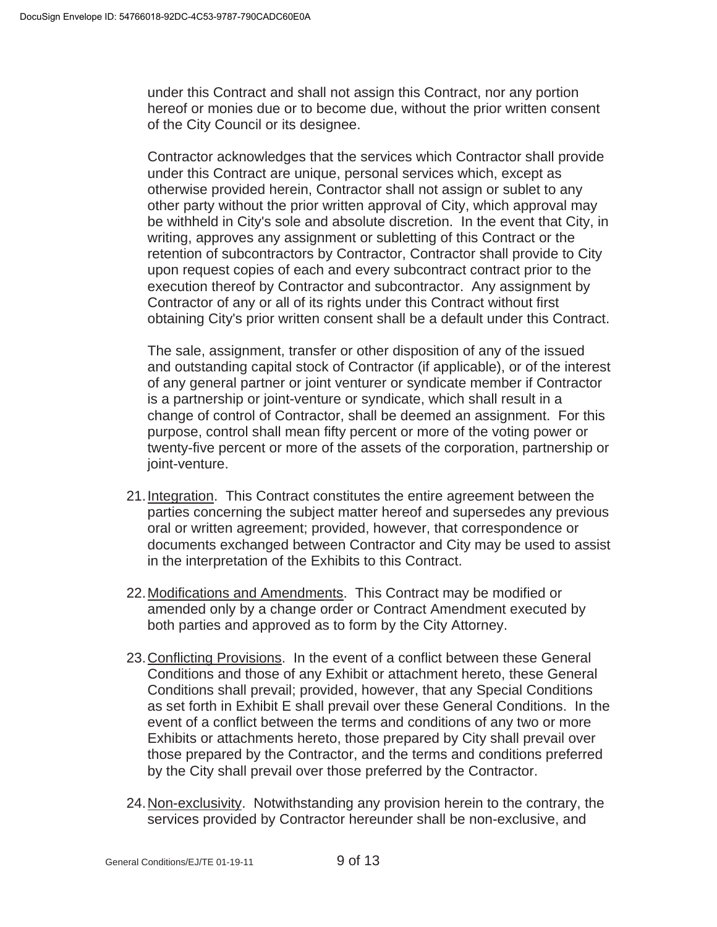under this Contract and shall not assign this Contract, nor any portion hereof or monies due or to become due, without the prior written consent of the City Council or its designee.

Contractor acknowledges that the services which Contractor shall provide under this Contract are unique, personal services which, except as otherwise provided herein, Contractor shall not assign or sublet to any other party without the prior written approval of City, which approval may be withheld in City's sole and absolute discretion. In the event that City, in writing, approves any assignment or subletting of this Contract or the retention of subcontractors by Contractor, Contractor shall provide to City upon request copies of each and every subcontract contract prior to the execution thereof by Contractor and subcontractor. Any assignment by Contractor of any or all of its rights under this Contract without first obtaining City's prior written consent shall be a default under this Contract.

The sale, assignment, transfer or other disposition of any of the issued and outstanding capital stock of Contractor (if applicable), or of the interest of any general partner or joint venturer or syndicate member if Contractor is a partnership or joint-venture or syndicate, which shall result in a change of control of Contractor, shall be deemed an assignment. For this purpose, control shall mean fifty percent or more of the voting power or twenty-five percent or more of the assets of the corporation, partnership or joint-venture.

- 21. Integration. This Contract constitutes the entire agreement between the parties concerning the subject matter hereof and supersedes any previous oral or written agreement; provided, however, that correspondence or documents exchanged between Contractor and City may be used to assist in the interpretation of the Exhibits to this Contract.
- 22. Modifications and Amendments. This Contract may be modified or amended only by a change order or Contract Amendment executed by both parties and approved as to form by the City Attorney.
- 23. Conflicting Provisions. In the event of a conflict between these General Conditions and those of any Exhibit or attachment hereto, these General Conditions shall prevail; provided, however, that any Special Conditions as set forth in Exhibit E shall prevail over these General Conditions. In the event of a conflict between the terms and conditions of any two or more Exhibits or attachments hereto, those prepared by City shall prevail over those prepared by the Contractor, and the terms and conditions preferred by the City shall prevail over those preferred by the Contractor.
- 24. Non-exclusivity. Notwithstanding any provision herein to the contrary, the services provided by Contractor hereunder shall be non-exclusive, and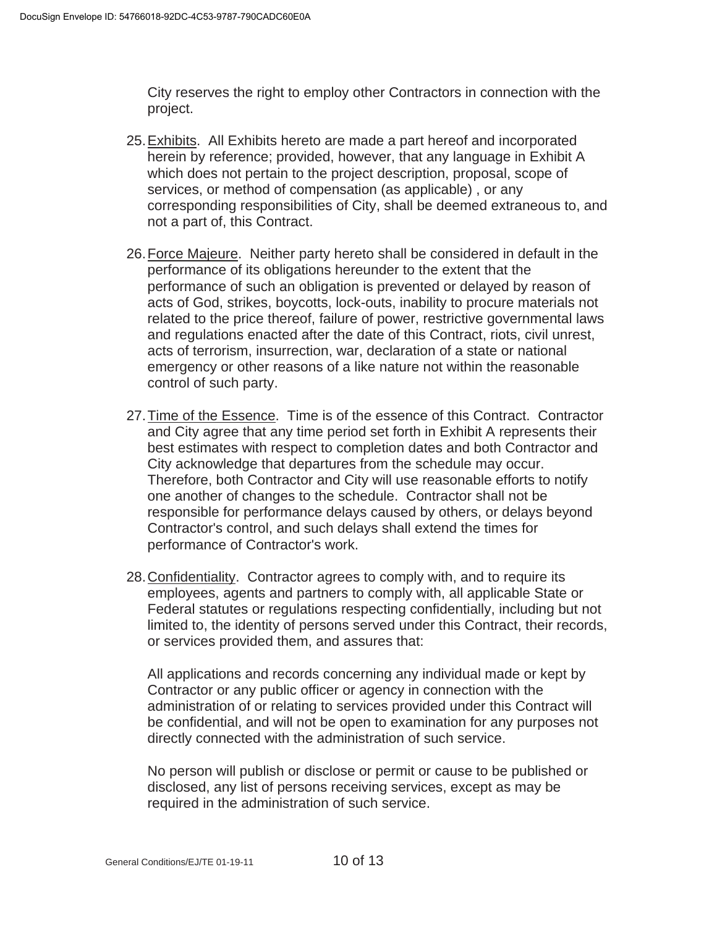City reserves the right to employ other Contractors in connection with the project.

- 25. Exhibits. All Exhibits hereto are made a part hereof and incorporated herein by reference; provided, however, that any language in Exhibit A which does not pertain to the project description, proposal, scope of services, or method of compensation (as applicable) , or any corresponding responsibilities of City, shall be deemed extraneous to, and not a part of, this Contract.
- 26. Force Majeure. Neither party hereto shall be considered in default in the performance of its obligations hereunder to the extent that the performance of such an obligation is prevented or delayed by reason of acts of God, strikes, boycotts, lock-outs, inability to procure materials not related to the price thereof, failure of power, restrictive governmental laws and regulations enacted after the date of this Contract, riots, civil unrest, acts of terrorism, insurrection, war, declaration of a state or national emergency or other reasons of a like nature not within the reasonable control of such party.
- 27. Time of the Essence. Time is of the essence of this Contract. Contractor and City agree that any time period set forth in Exhibit A represents their best estimates with respect to completion dates and both Contractor and City acknowledge that departures from the schedule may occur. Therefore, both Contractor and City will use reasonable efforts to notify one another of changes to the schedule. Contractor shall not be responsible for performance delays caused by others, or delays beyond Contractor's control, and such delays shall extend the times for performance of Contractor's work.
- 28. Confidentiality. Contractor agrees to comply with, and to require its employees, agents and partners to comply with, all applicable State or Federal statutes or regulations respecting confidentially, including but not limited to, the identity of persons served under this Contract, their records, or services provided them, and assures that:

All applications and records concerning any individual made or kept by Contractor or any public officer or agency in connection with the administration of or relating to services provided under this Contract will be confidential, and will not be open to examination for any purposes not directly connected with the administration of such service.

No person will publish or disclose or permit or cause to be published or disclosed, any list of persons receiving services, except as may be required in the administration of such service.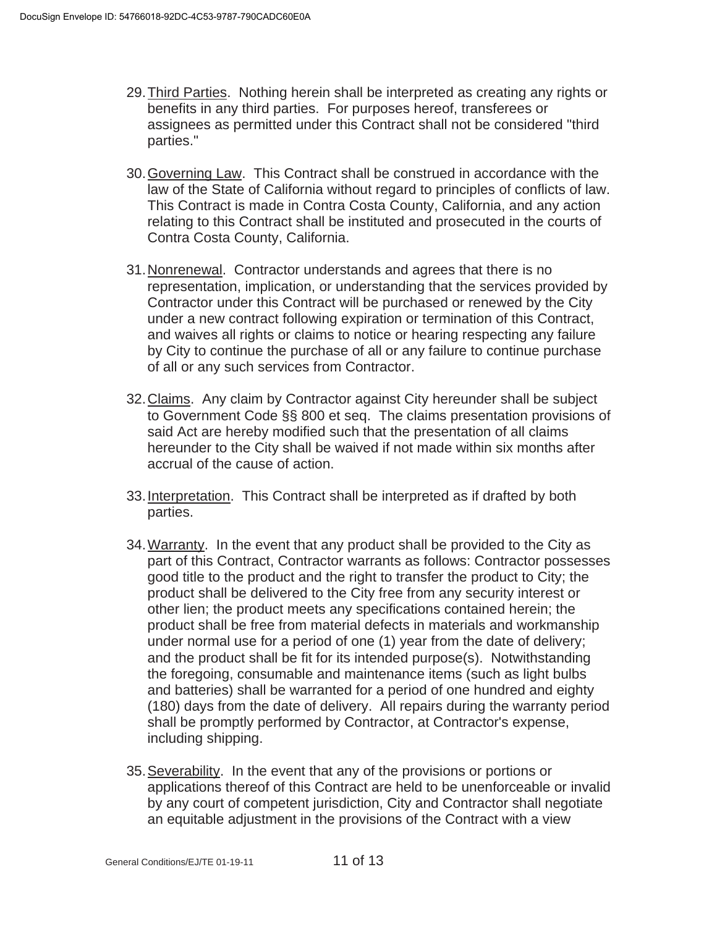- 29. Third Parties. Nothing herein shall be interpreted as creating any rights or benefits in any third parties. For purposes hereof, transferees or assignees as permitted under this Contract shall not be considered "third parties."
- 30. Governing Law. This Contract shall be construed in accordance with the law of the State of California without regard to principles of conflicts of law. This Contract is made in Contra Costa County, California, and any action relating to this Contract shall be instituted and prosecuted in the courts of Contra Costa County, California.
- 31. Nonrenewal. Contractor understands and agrees that there is no representation, implication, or understanding that the services provided by Contractor under this Contract will be purchased or renewed by the City under a new contract following expiration or termination of this Contract, and waives all rights or claims to notice or hearing respecting any failure by City to continue the purchase of all or any failure to continue purchase of all or any such services from Contractor.
- 32. Claims. Any claim by Contractor against City hereunder shall be subject to Government Code §§ 800 et seq. The claims presentation provisions of said Act are hereby modified such that the presentation of all claims hereunder to the City shall be waived if not made within six months after accrual of the cause of action.
- 33. Interpretation. This Contract shall be interpreted as if drafted by both parties.
- 34. Warranty. In the event that any product shall be provided to the City as part of this Contract, Contractor warrants as follows: Contractor possesses good title to the product and the right to transfer the product to City; the product shall be delivered to the City free from any security interest or other lien; the product meets any specifications contained herein; the product shall be free from material defects in materials and workmanship under normal use for a period of one (1) year from the date of delivery; and the product shall be fit for its intended purpose(s). Notwithstanding the foregoing, consumable and maintenance items (such as light bulbs and batteries) shall be warranted for a period of one hundred and eighty (180) days from the date of delivery. All repairs during the warranty period shall be promptly performed by Contractor, at Contractor's expense, including shipping.
- 35. Severability. In the event that any of the provisions or portions or applications thereof of this Contract are held to be unenforceable or invalid by any court of competent jurisdiction, City and Contractor shall negotiate an equitable adjustment in the provisions of the Contract with a view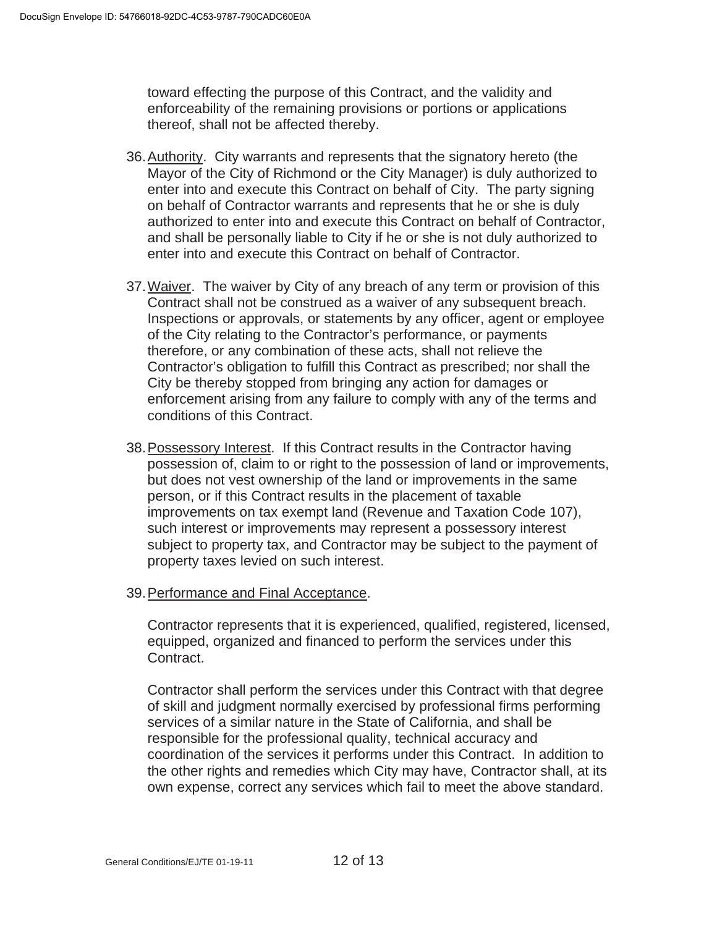toward effecting the purpose of this Contract, and the validity and enforceability of the remaining provisions or portions or applications thereof, shall not be affected thereby.

- 36. Authority. City warrants and represents that the signatory hereto (the Mayor of the City of Richmond or the City Manager) is duly authorized to enter into and execute this Contract on behalf of City. The party signing on behalf of Contractor warrants and represents that he or she is duly authorized to enter into and execute this Contract on behalf of Contractor, and shall be personally liable to City if he or she is not duly authorized to enter into and execute this Contract on behalf of Contractor.
- 37. Waiver. The waiver by City of any breach of any term or provision of this Contract shall not be construed as a waiver of any subsequent breach. Inspections or approvals, or statements by any officer, agent or employee of the City relating to the Contractor's performance, or payments therefore, or any combination of these acts, shall not relieve the Contractor's obligation to fulfill this Contract as prescribed; nor shall the City be thereby stopped from bringing any action for damages or enforcement arising from any failure to comply with any of the terms and conditions of this Contract.
- 38. Possessory Interest. If this Contract results in the Contractor having possession of, claim to or right to the possession of land or improvements, but does not vest ownership of the land or improvements in the same person, or if this Contract results in the placement of taxable improvements on tax exempt land (Revenue and Taxation Code 107), such interest or improvements may represent a possessory interest subject to property tax, and Contractor may be subject to the payment of property taxes levied on such interest.

# 39. Performance and Final Acceptance.

Contractor represents that it is experienced, qualified, registered, licensed, equipped, organized and financed to perform the services under this Contract.

Contractor shall perform the services under this Contract with that degree of skill and judgment normally exercised by professional firms performing services of a similar nature in the State of California, and shall be responsible for the professional quality, technical accuracy and coordination of the services it performs under this Contract. In addition to the other rights and remedies which City may have, Contractor shall, at its own expense, correct any services which fail to meet the above standard.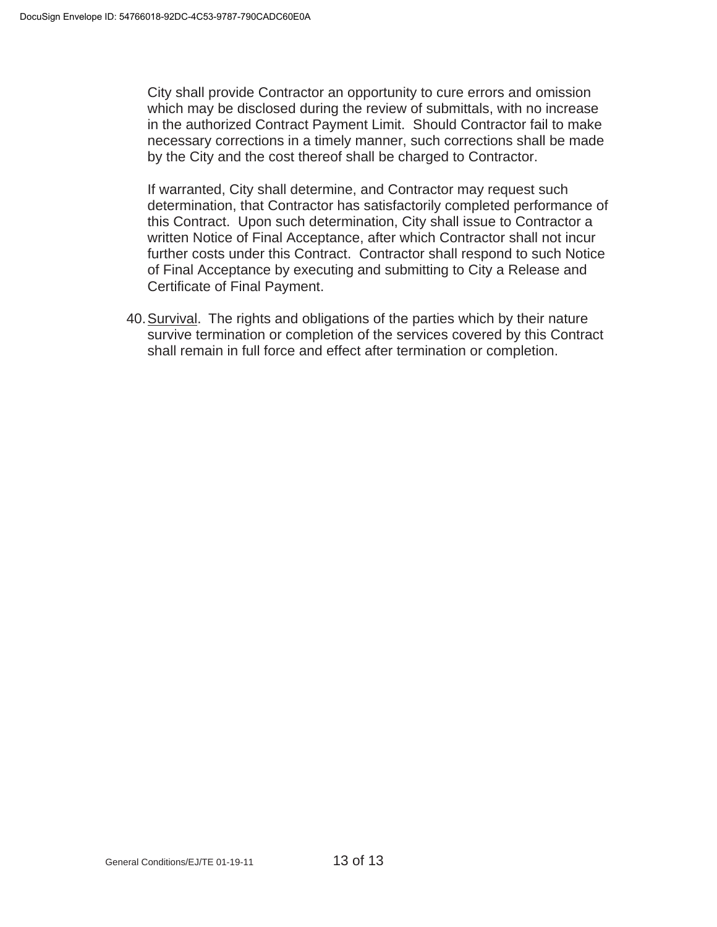City shall provide Contractor an opportunity to cure errors and omission which may be disclosed during the review of submittals, with no increase in the authorized Contract Payment Limit. Should Contractor fail to make necessary corrections in a timely manner, such corrections shall be made by the City and the cost thereof shall be charged to Contractor.

If warranted, City shall determine, and Contractor may request such determination, that Contractor has satisfactorily completed performance of this Contract. Upon such determination, City shall issue to Contractor a written Notice of Final Acceptance, after which Contractor shall not incur further costs under this Contract. Contractor shall respond to such Notice of Final Acceptance by executing and submitting to City a Release and Certificate of Final Payment.

40. Survival. The rights and obligations of the parties which by their nature survive termination or completion of the services covered by this Contract shall remain in full force and effect after termination or completion.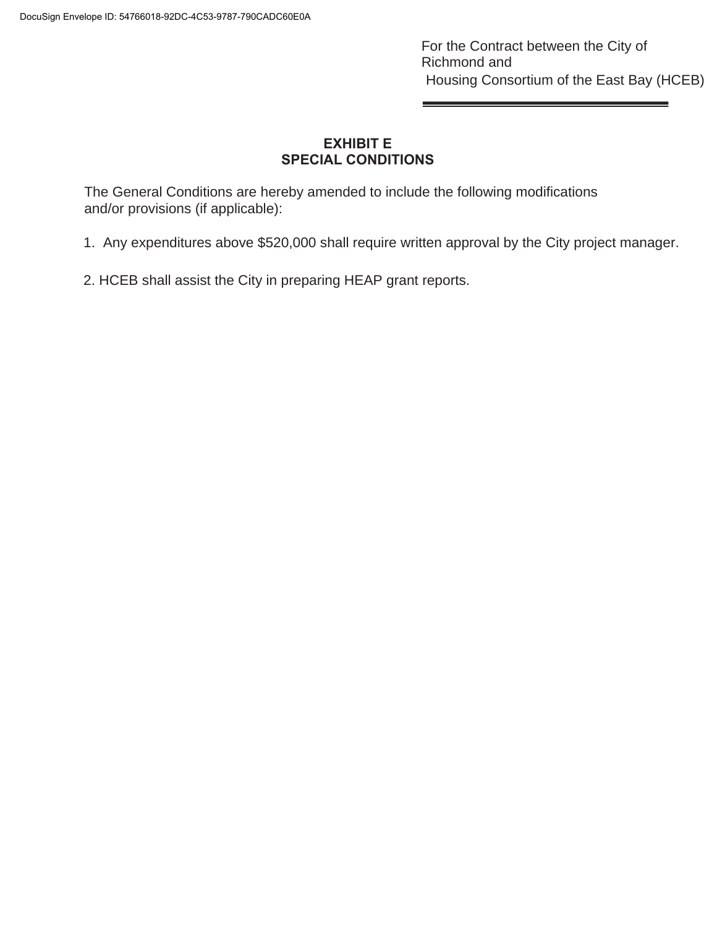For the Contract between the City of Richmond and Housing Consortium of the East Bay (HCEB)

# **EXHIBIT E SPECIAL CONDITIONS**

The General Conditions are hereby amended to include the following modifications and/or provisions (if applicable):

1. Any expenditures above \$520,000 shall require written approval by the City project manager.

**College** 

2. HCEB shall assist the City in preparing HEAP grant reports.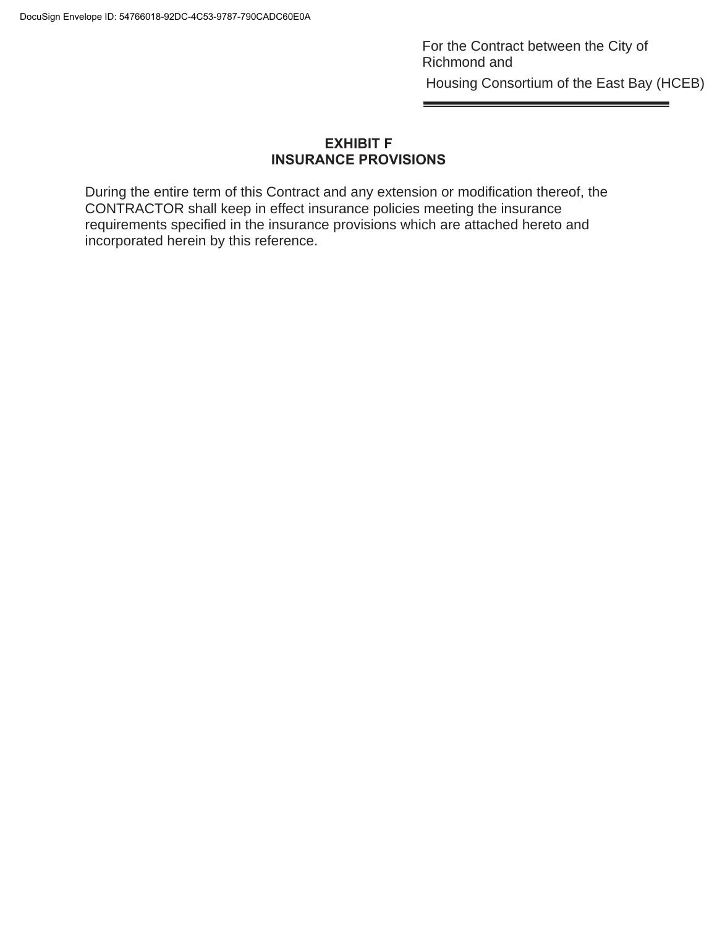For the Contract between the City of Richmond and Housing Consortium of the East Bay (HCEB)

# **EXHIBIT F INSURANCE PROVISIONS**

During the entire term of this Contract and any extension or modification thereof, the CONTRACTOR shall keep in effect insurance policies meeting the insurance requirements specified in the insurance provisions which are attached hereto and incorporated herein by this reference.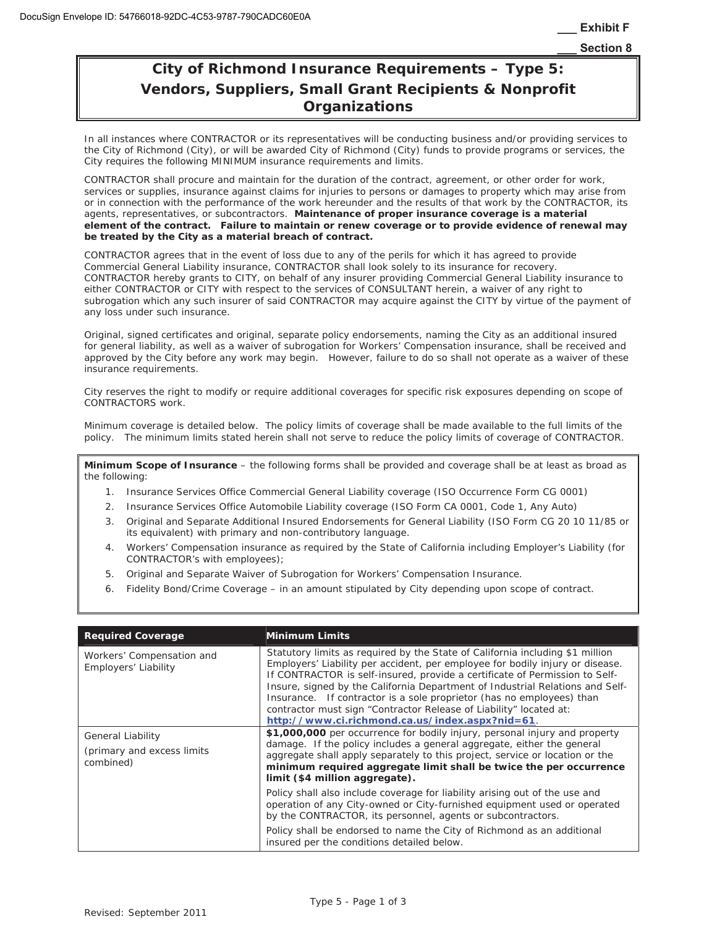# **City of Richmond Insurance Requirements – Type 5: Vendors, Suppliers, Small Grant Recipients & Nonprofit Organizations**

In all instances where CONTRACTOR or its representatives will be conducting business and/or providing services to the City of Richmond (City), or will be awarded City of Richmond (City) funds to provide programs or services, the City requires the following MINIMUM insurance requirements and limits.

CONTRACTOR shall procure and maintain for the duration of the contract, agreement, or other order for work, services or supplies, insurance against claims for injuries to persons or damages to property which may arise from or in connection with the performance of the work hereunder and the results of that work by the CONTRACTOR, its agents, representatives, or subcontractors. **Maintenance of proper insurance coverage is a material element of the contract. Failure to maintain or renew coverage or to provide evidence of renewal may be treated by the City as a material breach of contract.**

CONTRACTOR agrees that in the event of loss due to any of the perils for which it has agreed to provide Commercial General Liability insurance, CONTRACTOR shall look solely to its insurance for recovery. CONTRACTOR hereby grants to CITY, on behalf of any insurer providing Commercial General Liability insurance to either CONTRACTOR or CITY with respect to the services of CONSULTANT herein, a waiver of any right to subrogation which any such insurer of said CONTRACTOR may acquire against the CITY by virtue of the payment of any loss under such insurance.

Original, signed certificates and original, separate policy endorsements, naming the City as an additional insured for general liability, as well as a waiver of subrogation for Workers' Compensation insurance, shall be received and approved by the City before any work may begin. However, failure to do so shall not operate as a waiver of these insurance requirements.

City reserves the right to modify or require additional coverages for specific risk exposures depending on scope of CONTRACTORS work.

Minimum coverage is detailed below. The policy limits of coverage shall be made available to the full limits of the policy. The minimum limits stated herein shall not serve to reduce the policy limits of coverage of CONTRACTOR.

**Minimum Scope of Insurance** – the following forms shall be provided and coverage shall be at least as broad as the following:

- 1. Insurance Services Office Commercial General Liability coverage (ISO Occurrence Form CG 0001)
- 2. Insurance Services Office Automobile Liability coverage (ISO Form CA 0001, Code 1, Any Auto)
- 3. Original and Separate Additional Insured Endorsements for General Liability (ISO Form CG 20 10 11/85 or its equivalent) with primary and non-contributory language.
- 4. Workers' Compensation insurance as required by the State of California including Employer's Liability (for CONTRACTOR's with employees);
- 5. Original and Separate Waiver of Subrogation for Workers' Compensation Insurance.
- 6. Fidelity Bond/Crime Coverage in an amount stipulated by City depending upon scope of contract.

| <b>Required Coverage</b>                                            | <b>Minimum Limits</b>                                                                                                                                                                                                                                                                                                                                                                                                                                                                                                            |
|---------------------------------------------------------------------|----------------------------------------------------------------------------------------------------------------------------------------------------------------------------------------------------------------------------------------------------------------------------------------------------------------------------------------------------------------------------------------------------------------------------------------------------------------------------------------------------------------------------------|
| Workers' Compensation and<br>Employers' Liability                   | Statutory limits as required by the State of California including \$1 million<br>Employers' Liability per accident, per employee for bodily injury or disease.<br>If CONTRACTOR is self-insured, provide a certificate of Permission to Self-<br>Insure, signed by the California Department of Industrial Relations and Self-<br>Insurance. If contractor is a sole proprietor (has no employees) than<br>contractor must sign "Contractor Release of Liability" located at:<br>http://www.ci.richmond.ca.us/index.aspx?nid=61. |
| <b>General Liability</b><br>(primary and excess limits<br>combined) | \$1,000,000 per occurrence for bodily injury, personal injury and property<br>damage. If the policy includes a general aggregate, either the general<br>aggregate shall apply separately to this project, service or location or the<br>minimum required aggregate limit shall be twice the per occurrence<br>limit (\$4 million aggregate).                                                                                                                                                                                     |
|                                                                     | Policy shall also include coverage for liability arising out of the use and<br>operation of any City-owned or City-furnished equipment used or operated<br>by the CONTRACTOR, its personnel, agents or subcontractors.                                                                                                                                                                                                                                                                                                           |
|                                                                     | Policy shall be endorsed to name the City of Richmond as an additional<br>insured per the conditions detailed below.                                                                                                                                                                                                                                                                                                                                                                                                             |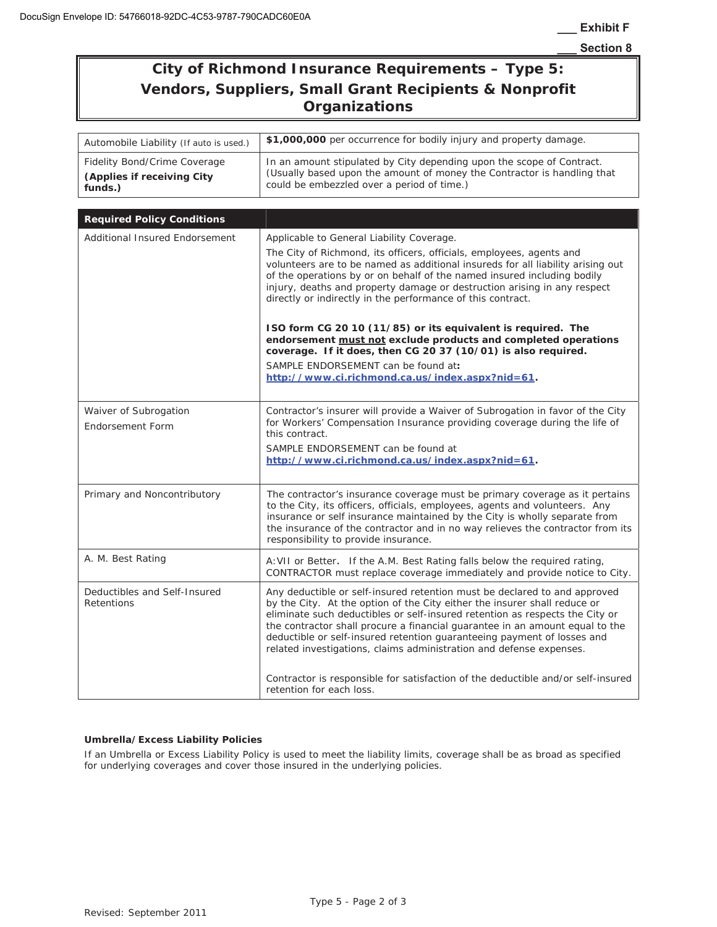# **City of Richmond Insurance Requirements – Type 5: Vendors, Suppliers, Small Grant Recipients & Nonprofit Organizations**

| Automobile Liability (If auto is used.)                               | \$1,000,000 per occurrence for bodily injury and property damage.                                                                                                                                                                                                                                                                                                                                                                                                                                                                                                                                                                                                                                                       |  |  |  |
|-----------------------------------------------------------------------|-------------------------------------------------------------------------------------------------------------------------------------------------------------------------------------------------------------------------------------------------------------------------------------------------------------------------------------------------------------------------------------------------------------------------------------------------------------------------------------------------------------------------------------------------------------------------------------------------------------------------------------------------------------------------------------------------------------------------|--|--|--|
| Fidelity Bond/Crime Coverage<br>(Applies if receiving City<br>funds.) | In an amount stipulated by City depending upon the scope of Contract.<br>(Usually based upon the amount of money the Contractor is handling that<br>could be embezzled over a period of time.)                                                                                                                                                                                                                                                                                                                                                                                                                                                                                                                          |  |  |  |
| <b>Required Policy Conditions</b>                                     |                                                                                                                                                                                                                                                                                                                                                                                                                                                                                                                                                                                                                                                                                                                         |  |  |  |
| <b>Additional Insured Endorsement</b>                                 | Applicable to General Liability Coverage.<br>The City of Richmond, its officers, officials, employees, agents and<br>volunteers are to be named as additional insureds for all liability arising out<br>of the operations by or on behalf of the named insured including bodily<br>injury, deaths and property damage or destruction arising in any respect<br>directly or indirectly in the performance of this contract.<br>ISO form CG 20 10 (11/85) or its equivalent is required. The<br>endorsement must not exclude products and completed operations<br>coverage. If it does, then CG 20 37 (10/01) is also required.<br>SAMPLE ENDORSEMENT can be found at:<br>http://www.ci.richmond.ca.us/index.aspx?nid=61. |  |  |  |
| Waiver of Subrogation<br><b>Endorsement Form</b>                      | Contractor's insurer will provide a Waiver of Subrogation in favor of the City<br>for Workers' Compensation Insurance providing coverage during the life of<br>this contract.<br>SAMPLE ENDORSEMENT can be found at<br>http://www.ci.richmond.ca.us/index.aspx?nid=61.                                                                                                                                                                                                                                                                                                                                                                                                                                                  |  |  |  |
| Primary and Noncontributory                                           | The contractor's insurance coverage must be primary coverage as it pertains<br>to the City, its officers, officials, employees, agents and volunteers. Any<br>insurance or self insurance maintained by the City is wholly separate from<br>the insurance of the contractor and in no way relieves the contractor from its<br>responsibility to provide insurance.                                                                                                                                                                                                                                                                                                                                                      |  |  |  |
| A. M. Best Rating                                                     | A: VII or Better. If the A.M. Best Rating falls below the required rating,<br>CONTRACTOR must replace coverage immediately and provide notice to City.                                                                                                                                                                                                                                                                                                                                                                                                                                                                                                                                                                  |  |  |  |
| Deductibles and Self-Insured<br>Retentions                            | Any deductible or self-insured retention must be declared to and approved<br>by the City. At the option of the City either the insurer shall reduce or<br>eliminate such deductibles or self-insured retention as respects the City or<br>the contractor shall procure a financial guarantee in an amount equal to the<br>deductible or self-insured retention guaranteeing payment of losses and<br>related investigations, claims administration and defense expenses.<br>Contractor is responsible for satisfaction of the deductible and/or self-insured<br>retention for each loss.                                                                                                                                |  |  |  |

### **Umbrella/Excess Liability Policies**

If an Umbrella or Excess Liability Policy is used to meet the liability limits, coverage shall be as broad as specified for underlying coverages and cover those insured in the underlying policies.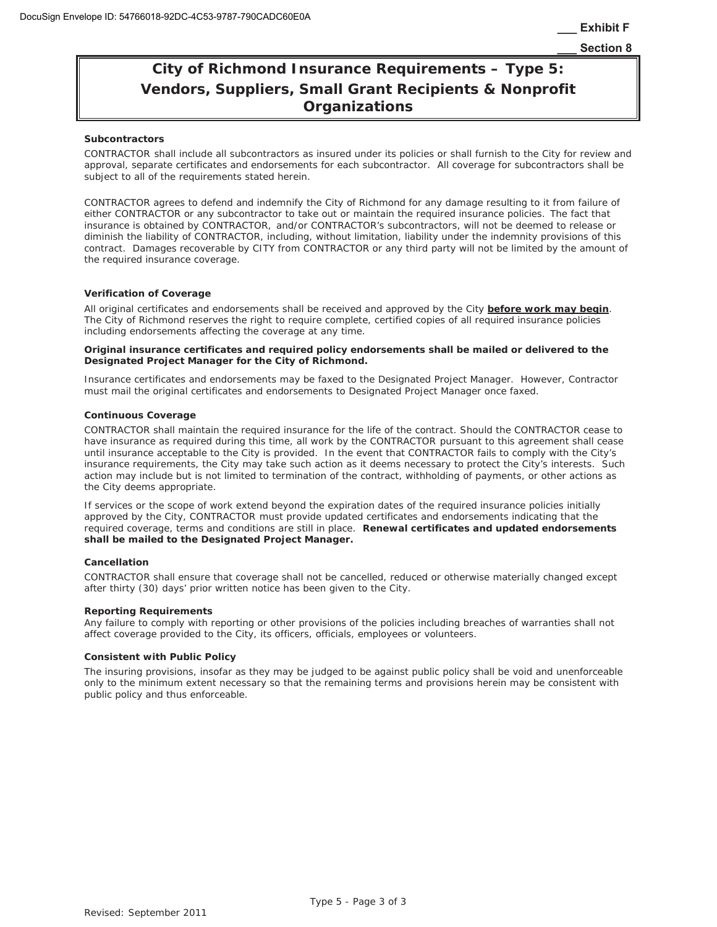# **City of Richmond Insurance Requirements – Type 5: Vendors, Suppliers, Small Grant Recipients & Nonprofit Organizations**

#### **Subcontractors**

CONTRACTOR shall include all subcontractors as insured under its policies or shall furnish to the City for review and approval, separate certificates and endorsements for each subcontractor. All coverage for subcontractors shall be subject to all of the requirements stated herein.

CONTRACTOR agrees to defend and indemnify the City of Richmond for any damage resulting to it from failure of either CONTRACTOR or any subcontractor to take out or maintain the required insurance policies. The fact that insurance is obtained by CONTRACTOR, and/or CONTRACTOR's subcontractors, will not be deemed to release or diminish the liability of CONTRACTOR, including, without limitation, liability under the indemnity provisions of this contract. Damages recoverable by CITY from CONTRACTOR or any third party will not be limited by the amount of the required insurance coverage.

#### **Verification of Coverage**

All original certificates and endorsements shall be received and approved by the City *before work may begin.* The City of Richmond reserves the right to require complete, certified copies of all required insurance policies including endorsements affecting the coverage at any time.

#### **Original insurance certificates and required policy endorsements shall be mailed or delivered to the Designated Project Manager for the City of Richmond.**

Insurance certificates and endorsements may be faxed to the Designated Project Manager. However, Contractor must mail the original certificates and endorsements to Designated Project Manager once faxed.

#### **Continuous Coverage**

CONTRACTOR shall maintain the required insurance for the life of the contract. Should the CONTRACTOR cease to have insurance as required during this time, all work by the CONTRACTOR pursuant to this agreement shall cease until insurance acceptable to the City is provided. In the event that CONTRACTOR fails to comply with the City's insurance requirements, the City may take such action as it deems necessary to protect the City's interests. Such action may include but is not limited to termination of the contract, withholding of payments, or other actions as the City deems appropriate.

If services or the scope of work extend beyond the expiration dates of the required insurance policies initially approved by the City, CONTRACTOR must provide updated certificates and endorsements indicating that the required coverage, terms and conditions are still in place. **Renewal certificates and updated endorsements shall be mailed to the Designated Project Manager.** 

#### **Cancellation**

CONTRACTOR shall ensure that coverage shall not be cancelled, reduced or otherwise materially changed except after thirty (30) days' prior written notice has been given to the City.

#### **Reporting Requirements**

Any failure to comply with reporting or other provisions of the policies including breaches of warranties shall not affect coverage provided to the City, its officers, officials, employees or volunteers.

#### **Consistent with Public Policy**

The insuring provisions, insofar as they may be judged to be against public policy shall be void and unenforceable only to the minimum extent necessary so that the remaining terms and provisions herein may be consistent with public policy and thus enforceable.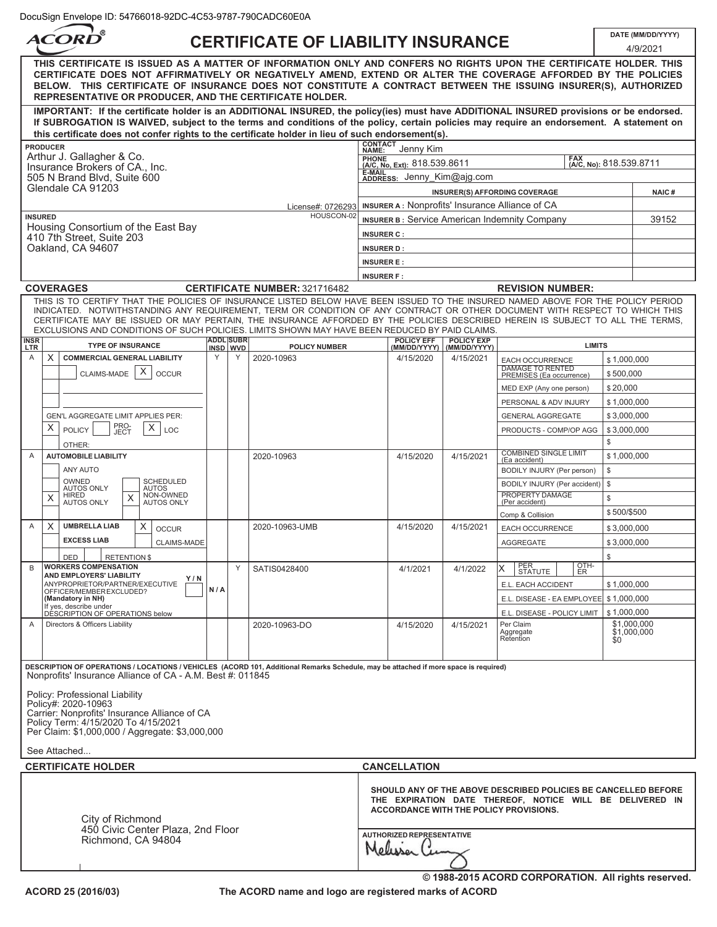# **CERTIFICATE OF LIABILITY INSURANCE DATE (MM/DD/YYYY)**

٦

| ACORD                                                                                                                                                                                                                                                                                                                                                                                                            |     |                              | <b>CERTIFICATE OF LIABILITY INSURANCE</b> |                   |                                       |                            |                                                                                                                                                                      |                   | 4/9/2021                   |
|------------------------------------------------------------------------------------------------------------------------------------------------------------------------------------------------------------------------------------------------------------------------------------------------------------------------------------------------------------------------------------------------------------------|-----|------------------------------|-------------------------------------------|-------------------|---------------------------------------|----------------------------|----------------------------------------------------------------------------------------------------------------------------------------------------------------------|-------------------|----------------------------|
| THIS CERTIFICATE IS ISSUED AS A MATTER OF INFORMATION ONLY AND CONFERS NO RIGHTS UPON THE CERTIFICATE HOLDER. THIS<br>CERTIFICATE DOES NOT AFFIRMATIVELY OR NEGATIVELY AMEND, EXTEND OR ALTER THE COVERAGE AFFORDED BY THE POLICIES<br>BELOW. THIS CERTIFICATE OF INSURANCE DOES NOT CONSTITUTE A CONTRACT BETWEEN THE ISSUING INSURER(S), AUTHORIZED<br>REPRESENTATIVE OR PRODUCER, AND THE CERTIFICATE HOLDER. |     |                              |                                           |                   |                                       |                            |                                                                                                                                                                      |                   |                            |
| IMPORTANT: If the certificate holder is an ADDITIONAL INSURED, the policy(ies) must have ADDITIONAL INSURED provisions or be endorsed.<br>If SUBROGATION IS WAIVED, subject to the terms and conditions of the policy, certain policies may require an endorsement. A statement on                                                                                                                               |     |                              |                                           |                   |                                       |                            |                                                                                                                                                                      |                   |                            |
| this certificate does not confer rights to the certificate holder in lieu of such endorsement(s).                                                                                                                                                                                                                                                                                                                |     |                              |                                           | <b>CONTACT</b>    |                                       |                            |                                                                                                                                                                      |                   |                            |
| <b>PRODUCER</b><br>Arthur J. Gallagher & Co.                                                                                                                                                                                                                                                                                                                                                                     |     |                              |                                           | NAME:             | Jenny Kim                             |                            |                                                                                                                                                                      |                   |                            |
| Insurance Brokers of CA., Inc.                                                                                                                                                                                                                                                                                                                                                                                   |     |                              |                                           |                   | PHONE<br>(A/C, No, Ext): 818.539.8611 |                            | FAX<br>(A/C, No): 818.539.8711                                                                                                                                       |                   |                            |
| 505 N Brand Blvd. Suite 600<br>Glendale CA 91203                                                                                                                                                                                                                                                                                                                                                                 |     |                              |                                           |                   | E-MAIL<br>ADDRESS: Jenny Kim@ajg.com  |                            |                                                                                                                                                                      |                   |                            |
|                                                                                                                                                                                                                                                                                                                                                                                                                  |     |                              |                                           |                   |                                       |                            | INSURER(S) AFFORDING COVERAGE                                                                                                                                        |                   | NAIC#                      |
| <b>INSURED</b>                                                                                                                                                                                                                                                                                                                                                                                                   |     |                              | License#: 0726293<br>HOUSCON-02           |                   |                                       |                            | INSURER A: Nonprofits' Insurance Alliance of CA                                                                                                                      |                   |                            |
| Housing Consortium of the East Bay                                                                                                                                                                                                                                                                                                                                                                               |     |                              |                                           |                   |                                       |                            | <b>INSURER B: Service American Indemnity Company</b>                                                                                                                 |                   | 39152                      |
| 410 7th Street, Suite 203                                                                                                                                                                                                                                                                                                                                                                                        |     |                              |                                           | <b>INSURER C:</b> |                                       |                            |                                                                                                                                                                      |                   |                            |
| Oakland, CA 94607                                                                                                                                                                                                                                                                                                                                                                                                |     |                              |                                           | <b>INSURER D:</b> |                                       |                            |                                                                                                                                                                      |                   |                            |
|                                                                                                                                                                                                                                                                                                                                                                                                                  |     |                              |                                           | <b>INSURER E:</b> |                                       |                            |                                                                                                                                                                      |                   |                            |
| <b>COVERAGES</b>                                                                                                                                                                                                                                                                                                                                                                                                 |     |                              | <b>CERTIFICATE NUMBER: 321716482</b>      | <b>INSURER F:</b> |                                       |                            | <b>REVISION NUMBER:</b>                                                                                                                                              |                   |                            |
| THIS IS TO CERTIFY THAT THE POLICIES OF INSURANCE LISTED BELOW HAVE BEEN ISSUED TO THE INSURED NAMED ABOVE FOR THE POLICY PERIOD                                                                                                                                                                                                                                                                                 |     |                              |                                           |                   |                                       |                            |                                                                                                                                                                      |                   |                            |
| INDICATED. NOTWITHSTANDING ANY REQUIREMENT, TERM OR CONDITION OF ANY CONTRACT OR OTHER DOCUMENT WITH RESPECT TO WHICH THIS<br>CERTIFICATE MAY BE ISSUED OR MAY PERTAIN, THE INSURANCE AFFORDED BY THE POLICIES DESCRIBED HEREIN IS SUBJECT TO ALL THE TERMS,<br>EXCLUSIONS AND CONDITIONS OF SUCH POLICIES. LIMITS SHOWN MAY HAVE BEEN REDUCED BY PAID CLAIMS.                                                   |     |                              |                                           |                   |                                       |                            |                                                                                                                                                                      |                   |                            |
| INSR<br><b>TYPE OF INSURANCE</b><br>LTR                                                                                                                                                                                                                                                                                                                                                                          |     | <b>ADDL SUBR</b><br>INSD WVD | <b>POLICY NUMBER</b>                      |                   | POLICY EFF                            | POLICY EXP<br>(MM/DD/YYYY) | <b>LIMITS</b>                                                                                                                                                        |                   |                            |
| Χ<br><b>COMMERCIAL GENERAL LIABILITY</b><br>Α                                                                                                                                                                                                                                                                                                                                                                    | Y   | Y                            | 2020-10963                                |                   | 4/15/2020                             | 4/15/2021                  | EACH OCCURRENCE                                                                                                                                                      | \$1,000,000       |                            |
| X<br>CLAIMS-MADE<br><b>OCCUR</b>                                                                                                                                                                                                                                                                                                                                                                                 |     |                              |                                           |                   |                                       |                            | <b>DAMAGE TO RENTED</b><br>PREMISES (Ea occurrence)                                                                                                                  | \$500,000         |                            |
|                                                                                                                                                                                                                                                                                                                                                                                                                  |     |                              |                                           |                   |                                       |                            | MED EXP (Any one person)                                                                                                                                             | \$20,000          |                            |
|                                                                                                                                                                                                                                                                                                                                                                                                                  |     |                              |                                           |                   |                                       |                            | PERSONAL & ADV INJURY                                                                                                                                                | \$1,000,000       |                            |
| GEN'L AGGREGATE LIMIT APPLIES PER:                                                                                                                                                                                                                                                                                                                                                                               |     |                              |                                           |                   |                                       |                            | <b>GENERAL AGGREGATE</b>                                                                                                                                             | \$3,000,000       |                            |
| PRO-<br>JECT<br>Х<br>X.<br><b>POLICY</b><br>LOC<br>OTHER:                                                                                                                                                                                                                                                                                                                                                        |     |                              |                                           |                   |                                       |                            | PRODUCTS - COMP/OP AGG                                                                                                                                               | \$3,000,000<br>\$ |                            |
| A<br><b>AUTOMOBILE LIABILITY</b>                                                                                                                                                                                                                                                                                                                                                                                 |     |                              | 2020-10963                                |                   | 4/15/2020                             | 4/15/2021                  | <b>COMBINED SINGLE LIMIT</b><br>(Ea accident)                                                                                                                        | \$1,000,000       |                            |
| ANY AUTO                                                                                                                                                                                                                                                                                                                                                                                                         |     |                              |                                           |                   |                                       |                            | BODILY INJURY (Per person)                                                                                                                                           | \$                |                            |
| OWNED<br>SCHEDULED<br><b>AUTOS ONLY</b><br><b>AUTOS</b>                                                                                                                                                                                                                                                                                                                                                          |     |                              |                                           |                   |                                       |                            | BODILY INJURY (Per accident)                                                                                                                                         | \$                |                            |
| NON-OWNED<br><b>HIRED</b><br>X<br>X<br><b>AUTOS ONLY</b><br><b>AUTOS ONLY</b>                                                                                                                                                                                                                                                                                                                                    |     |                              |                                           |                   |                                       |                            | PROPERTY DAMAGE<br>(Per accident)                                                                                                                                    | \$                |                            |
|                                                                                                                                                                                                                                                                                                                                                                                                                  |     |                              |                                           |                   |                                       |                            | Comp & Collision                                                                                                                                                     | \$500/\$500       |                            |
| X<br>A<br><b>UMBRELLA LIAB</b><br>Х<br><b>OCCUR</b>                                                                                                                                                                                                                                                                                                                                                              |     |                              | 2020-10963-UMB                            |                   | 4/15/2020                             | 4/15/2021                  | EACH OCCURRENCE                                                                                                                                                      | \$3,000,000       |                            |
| <b>EXCESS LIAB</b><br><b>CLAIMS-MADE</b>                                                                                                                                                                                                                                                                                                                                                                         |     |                              |                                           |                   |                                       |                            | <b>AGGREGATE</b>                                                                                                                                                     | \$3,000,000       |                            |
| <b>DED</b><br><b>RETENTION \$</b>                                                                                                                                                                                                                                                                                                                                                                                |     |                              |                                           |                   |                                       |                            |                                                                                                                                                                      | \$                |                            |
| <b>WORKERS COMPENSATION</b><br>B<br>AND EMPLOYERS' LIABILITY                                                                                                                                                                                                                                                                                                                                                     |     | Y                            | SATIS0428400                              |                   | 4/1/2021                              | 4/1/2022                   | OTH-<br>х<br><b>STATUTE</b><br>ER                                                                                                                                    |                   |                            |
| Y/N<br>ANYPROPRIETOR/PARTNER/EXECUTIVE                                                                                                                                                                                                                                                                                                                                                                           | N/A |                              |                                           |                   |                                       |                            | E.L. EACH ACCIDENT                                                                                                                                                   | \$1,000,000       |                            |
| OFFICER/MEMBER EXCLUDED?<br>(Mandatory in NH)                                                                                                                                                                                                                                                                                                                                                                    |     |                              |                                           |                   |                                       |                            | E.L. DISEASE - EA EMPLOYEE   \$1,000,000                                                                                                                             |                   |                            |
| If yes, describe under<br>DESCRIPTION OF OPERATIONS below                                                                                                                                                                                                                                                                                                                                                        |     |                              |                                           |                   |                                       |                            | E.L. DISEASE - POLICY LIMIT                                                                                                                                          | \$1,000,000       |                            |
| Directors & Officers Liability<br>A                                                                                                                                                                                                                                                                                                                                                                              |     |                              | 2020-10963-DO                             |                   | 4/15/2020                             | 4/15/2021                  | Per Claim<br>Aggregate<br>Retention                                                                                                                                  | \$0               | \$1,000,000<br>\$1,000,000 |
| DESCRIPTION OF OPERATIONS / LOCATIONS / VEHICLES (ACORD 101, Additional Remarks Schedule, may be attached if more space is required)<br>Nonprofits' Insurance Alliance of CA - A.M. Best #: 011845                                                                                                                                                                                                               |     |                              |                                           |                   |                                       |                            |                                                                                                                                                                      |                   |                            |
|                                                                                                                                                                                                                                                                                                                                                                                                                  |     |                              |                                           |                   |                                       |                            |                                                                                                                                                                      |                   |                            |
| Policy: Professional Liability<br>Policy#: 2020-10963<br>Carrier: Nonprofits' Insurance Alliance of CA                                                                                                                                                                                                                                                                                                           |     |                              |                                           |                   |                                       |                            |                                                                                                                                                                      |                   |                            |
| Policy Term: 4/15/2020 To 4/15/2021<br>Per Claim: \$1,000,000 / Aggregate: \$3,000,000                                                                                                                                                                                                                                                                                                                           |     |                              |                                           |                   |                                       |                            |                                                                                                                                                                      |                   |                            |
| See Attached                                                                                                                                                                                                                                                                                                                                                                                                     |     |                              |                                           |                   |                                       |                            |                                                                                                                                                                      |                   |                            |
| <b>CERTIFICATE HOLDER</b>                                                                                                                                                                                                                                                                                                                                                                                        |     |                              |                                           |                   | <b>CANCELLATION</b>                   |                            |                                                                                                                                                                      |                   |                            |
| City of Richmond                                                                                                                                                                                                                                                                                                                                                                                                 |     |                              |                                           |                   |                                       |                            | SHOULD ANY OF THE ABOVE DESCRIBED POLICIES BE CANCELLED BEFORE<br>THE EXPIRATION DATE THEREOF, NOTICE WILL BE DELIVERED IN<br>ACCORDANCE WITH THE POLICY PROVISIONS. |                   |                            |
| 450 Civic Center Plaza, 2nd Floor<br>Richmond, CA 94804                                                                                                                                                                                                                                                                                                                                                          |     |                              |                                           |                   | <b>AUTHORIZED REPRESENTATIVE</b>      |                            |                                                                                                                                                                      |                   |                            |
|                                                                                                                                                                                                                                                                                                                                                                                                                  |     |                              |                                           |                   |                                       |                            | © 1988-2015 ACORD CORPORATION. All rights reserved.                                                                                                                  |                   |                            |

**The ACORD name and logo are registered marks of ACORD**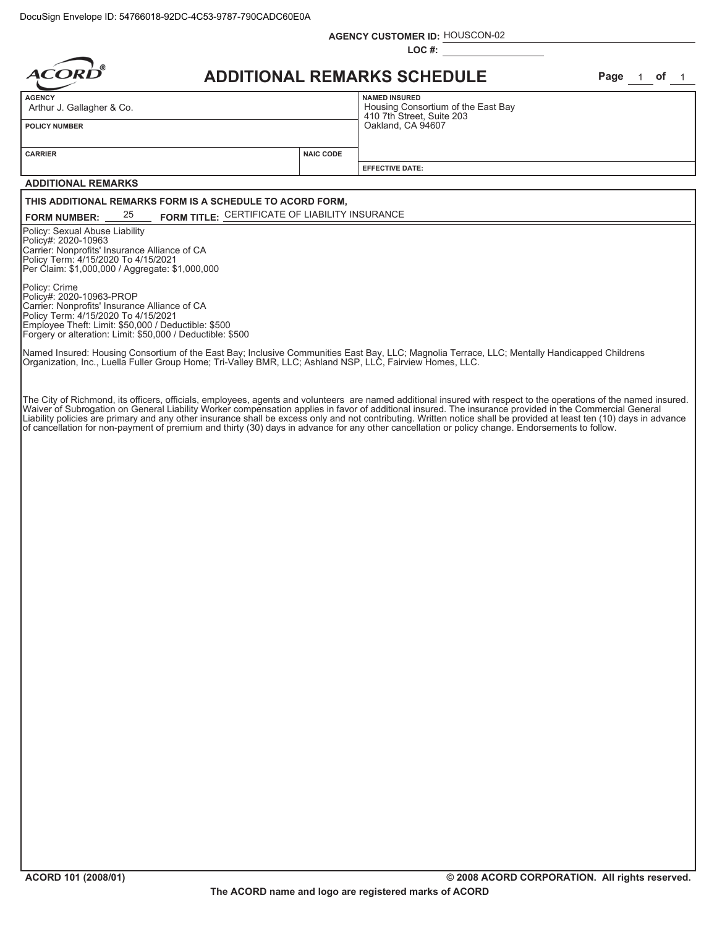|                                                                                                                                                                                                                                                                                                                                                                                                                                                            | <b>AGENCY CUSTOMER ID: HOUSCON-02</b>                                                |             |
|------------------------------------------------------------------------------------------------------------------------------------------------------------------------------------------------------------------------------------------------------------------------------------------------------------------------------------------------------------------------------------------------------------------------------------------------------------|--------------------------------------------------------------------------------------|-------------|
| ACO                                                                                                                                                                                                                                                                                                                                                                                                                                                        | $LOC#$ :<br><b>ADDITIONAL REMARKS SCHEDULE</b>                                       | Page 1 of 1 |
| <b>AGENCY</b>                                                                                                                                                                                                                                                                                                                                                                                                                                              | <b>NAMED INSURED</b>                                                                 |             |
| Arthur J. Gallagher & Co.<br><b>POLICY NUMBER</b>                                                                                                                                                                                                                                                                                                                                                                                                          | Housing Consortium of the East Bay<br>410 7th Street, Suite 203<br>Oakland, CA 94607 |             |
| <b>NAIC CODE</b><br><b>CARRIER</b>                                                                                                                                                                                                                                                                                                                                                                                                                         |                                                                                      |             |
|                                                                                                                                                                                                                                                                                                                                                                                                                                                            | <b>EFFECTIVE DATE:</b>                                                               |             |
| <b>ADDITIONAL REMARKS</b>                                                                                                                                                                                                                                                                                                                                                                                                                                  |                                                                                      |             |
| THIS ADDITIONAL REMARKS FORM IS A SCHEDULE TO ACORD FORM,<br>FORM TITLE: CERTIFICATE OF LIABILITY INSURANCE<br>25<br><b>FORM NUMBER:</b>                                                                                                                                                                                                                                                                                                                   |                                                                                      |             |
| Policy: Sexual Abuse Liability<br>Policy#: 2020-10963<br>Carrier: Nonprofits' Insurance Alliance of CA<br>Policy Term: 4/15/2020 To 4/15/2021<br>Per Claim: \$1,000,000 / Aggregate: \$1,000,000<br>Policy: Crime<br>Policy#: 2020-10963-PROP<br>Carrier: Nonprofits' Insurance Alliance of CA<br>Policy Term: 4/15/2020 To 4/15/2021<br>Employee Theft: Limit: \$50,000 / Deductible: \$500<br>Forgery or alteration: Limit: \$50,000 / Deductible: \$500 |                                                                                      |             |
| Named Insured: Housing Consortium of the East Bay; Inclusive Communities East Bay, LLC; Magnolia Terrace, LLC; Mentally Handicapped Childrens<br>Organization, Inc., Luella Fuller Group Home; Tri-Valley BMR, LLC; Ashland NSP, LLC, Fairview Homes, LLC.                                                                                                                                                                                                 |                                                                                      |             |
| of cancellation for non-payment of premium and thirty (30) days in advance for any other cancellation or policy change. Endorsements to follow.                                                                                                                                                                                                                                                                                                            |                                                                                      |             |

**ACORD 101 (2008/01)**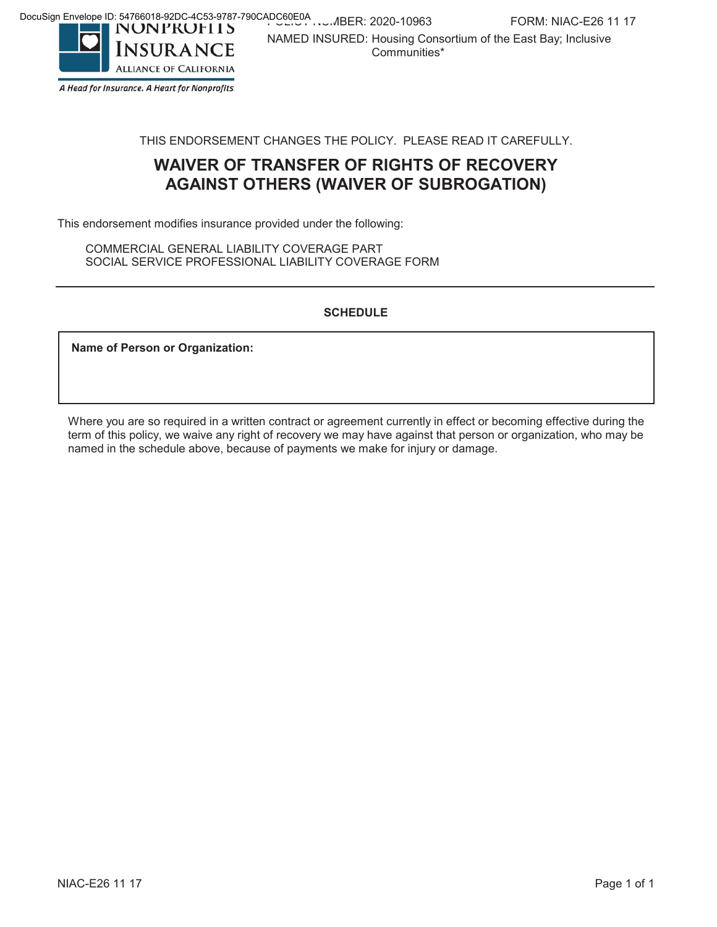NAMED INSURED: Housing Consortium of the East Bay; Inclusive

Communities\*



A Head for Insurance. A Heart for Nonprofits.

THIS ENDORSEMENT CHANGES THE POLICY. PLEASE READ IT CAREFULLY.

# **WAIVER OF TRANSFER OF RIGHTS OF RECOVERY AGAINST OTHERS (WAIVER OF SUBROGATION)**

This endorsement modifies insurance provided under the following:

COMMERCIAL GENERAL LIABILITY COVERAGE PART SOCIAL SERVICE PROFESSIONAL LIABILITY COVERAGE FORM

### **SCHEDULE**

**Name of Person or Organization:**

Where you are so required in a written contract or agreement currently in effect or becoming effective during the term of this policy, we waive any right of recovery we may have against that person or organization, who may be named in the schedule above, because of payments we make for injury or damage.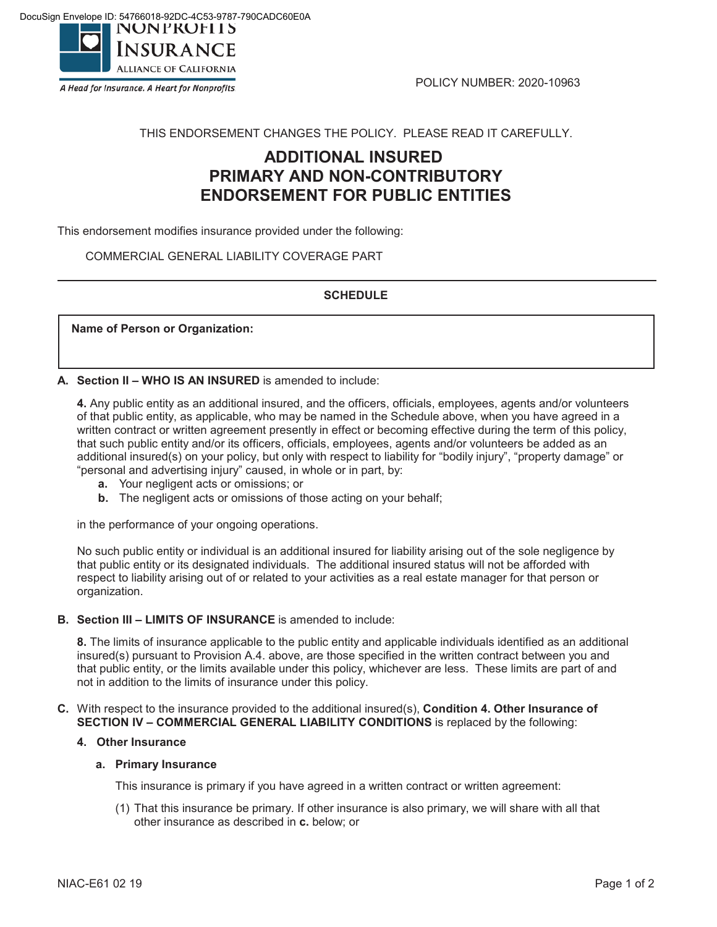

A Head for Insurance. A Heart for Nonprofits.

POLICY NUMBER: 2020-10963

### THIS ENDORSEMENT CHANGES THE POLICY. PLEASE READ IT CAREFULLY.

# **ADDITIONAL INSURED PRIMARY AND NON-CONTRIBUTORY ENDORSEMENT FOR PUBLIC ENTITIES**

This endorsement modifies insurance provided under the following:

COMMERCIAL GENERAL LIABILITY COVERAGE PART

### **SCHEDULE**

**Name of Person or Organization:**

**A. Section II – WHO IS AN INSURED** is amended to include:

**4.** Any public entity as an additional insured, and the officers, officials, employees, agents and/or volunteers of that public entity, as applicable, who may be named in the Schedule above, when you have agreed in a written contract or written agreement presently in effect or becoming effective during the term of this policy, that such public entity and/or its officers, officials, employees, agents and/or volunteers be added as an additional insured(s) on your policy, but only with respect to liability for "bodily injury", "property damage" or "personal and advertising injury" caused, in whole or in part, by:

- **a.** Your negligent acts or omissions; or
- **b.** The negligent acts or omissions of those acting on your behalf;

in the performance of your ongoing operations.

No such public entity or individual is an additional insured for liability arising out of the sole negligence by that public entity or its designated individuals. The additional insured status will not be afforded with respect to liability arising out of or related to your activities as a real estate manager for that person or organization.

### **B. Section III – LIMITS OF INSURANCE** is amended to include:

**8.** The limits of insurance applicable to the public entity and applicable individuals identified as an additional insured(s) pursuant to Provision A.4. above, are those specified in the written contract between you and that public entity, or the limits available under this policy, whichever are less. These limits are part of and not in addition to the limits of insurance under this policy.

### **C.** With respect to the insurance provided to the additional insured(s), **Condition 4. Other Insurance of SECTION IV – COMMERCIAL GENERAL LIABILITY CONDITIONS** is replaced by the following:

### **4. Other Insurance**

#### **a. Primary Insurance**

This insurance is primary if you have agreed in a written contract or written agreement:

(1) That this insurance be primary. If other insurance is also primary, we will share with all that other insurance as described in **c.** below; or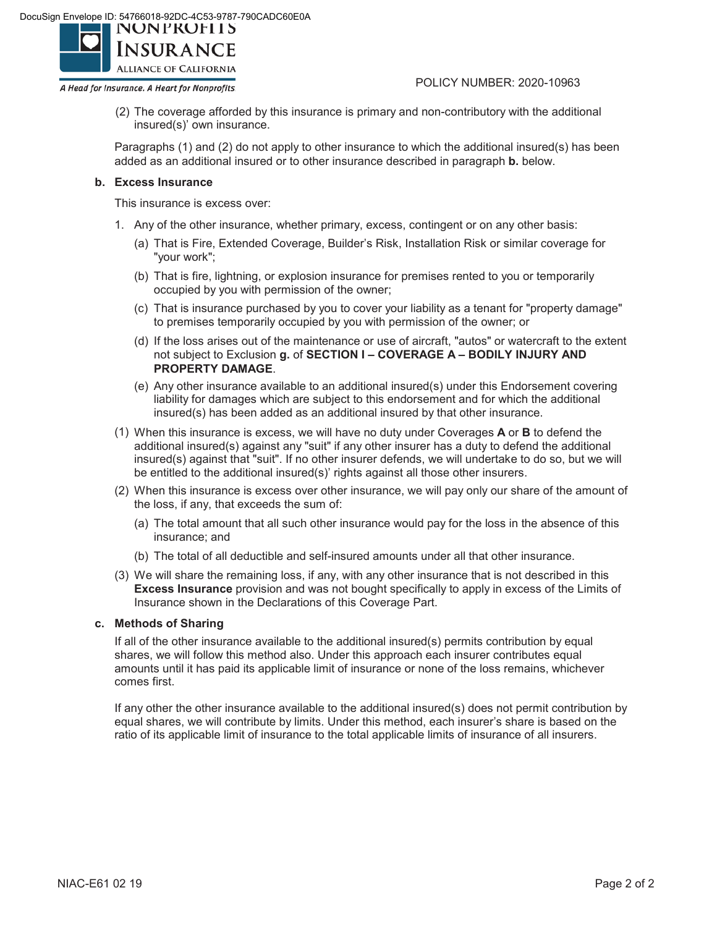

A Head for Insurance. A Heart for Nonprofits.

POLICY NUMBER: 2020-10963

(2) The coverage afforded by this insurance is primary and non-contributory with the additional insured(s)' own insurance.

Paragraphs (1) and (2) do not apply to other insurance to which the additional insured(s) has been added as an additional insured or to other insurance described in paragraph **b.** below.

### **b. Excess Insurance**

This insurance is excess over:

- 1. Any of the other insurance, whether primary, excess, contingent or on any other basis:
	- (a) That is Fire, Extended Coverage, Builder's Risk, Installation Risk or similar coverage for "your work";
	- (b) That is fire, lightning, or explosion insurance for premises rented to you or temporarily occupied by you with permission of the owner;
	- (c) That is insurance purchased by you to cover your liability as a tenant for "property damage" to premises temporarily occupied by you with permission of the owner; or
	- (d) If the loss arises out of the maintenance or use of aircraft, "autos" or watercraft to the extent not subject to Exclusion **g.** of **SECTION I – COVERAGE A – BODILY INJURY AND PROPERTY DAMAGE**.
	- (e) Any other insurance available to an additional insured(s) under this Endorsement covering liability for damages which are subject to this endorsement and for which the additional insured(s) has been added as an additional insured by that other insurance.
- (1) When this insurance is excess, we will have no duty under Coverages **A** or **B** to defend the additional insured(s) against any "suit" if any other insurer has a duty to defend the additional insured(s) against that "suit". If no other insurer defends, we will undertake to do so, but we will be entitled to the additional insured(s)' rights against all those other insurers.
- (2) When this insurance is excess over other insurance, we will pay only our share of the amount of the loss, if any, that exceeds the sum of:
	- (a) The total amount that all such other insurance would pay for the loss in the absence of this insurance; and
	- (b) The total of all deductible and self-insured amounts under all that other insurance.
- (3) We will share the remaining loss, if any, with any other insurance that is not described in this **Excess Insurance** provision and was not bought specifically to apply in excess of the Limits of Insurance shown in the Declarations of this Coverage Part.

### **c. Methods of Sharing**

If all of the other insurance available to the additional insured(s) permits contribution by equal shares, we will follow this method also. Under this approach each insurer contributes equal amounts until it has paid its applicable limit of insurance or none of the loss remains, whichever comes first.

If any other the other insurance available to the additional insured(s) does not permit contribution by equal shares, we will contribute by limits. Under this method, each insurer's share is based on the ratio of its applicable limit of insurance to the total applicable limits of insurance of all insurers.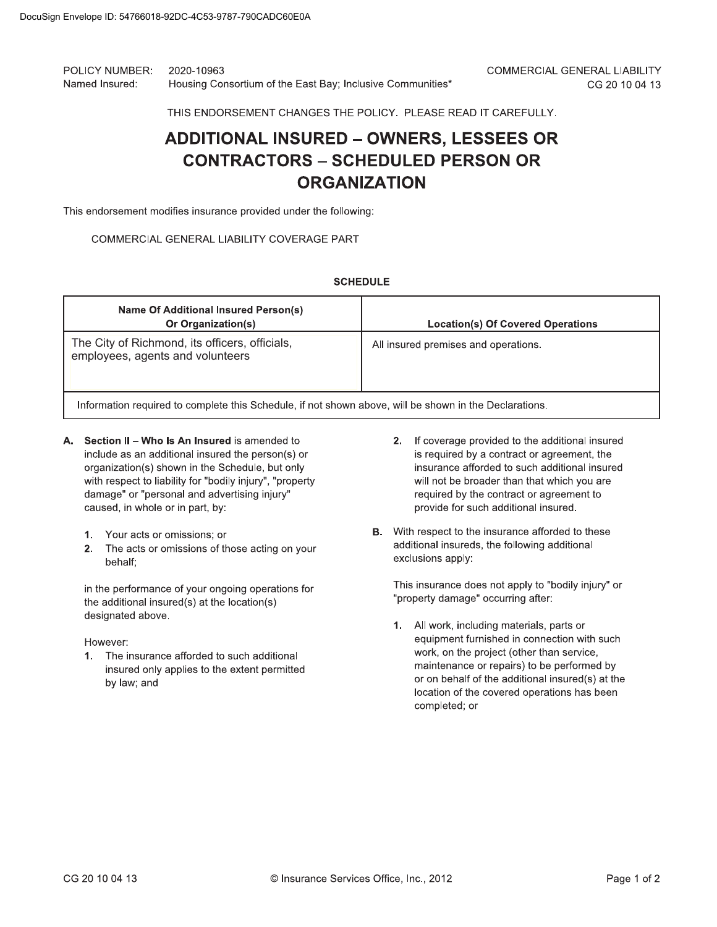POLICY NUMBER: 2020-10963 Named Insured: Housing Consortium of the East Bay; Inclusive Communities\*

THIS ENDORSEMENT CHANGES THE POLICY. PLEASE READ IT CAREFULLY.

# **ADDITIONAL INSURED - OWNERS, LESSEES OR CONTRACTORS - SCHEDULED PERSON OR ORGANIZATION**

This endorsement modifies insurance provided under the following:

### COMMERCIAL GENERAL LIABILITY COVERAGE PART

**SCHEDULE** 

| <b>Name Of Additional Insured Person(s)</b><br>Or Organization(s)                                      | <b>Location(s) Of Covered Operations</b> |  |  |
|--------------------------------------------------------------------------------------------------------|------------------------------------------|--|--|
| The City of Richmond, its officers, officials,<br>employees, agents and volunteers                     | All insured premises and operations.     |  |  |
| Information required to complete this Schedule, if not shown above, will be shown in the Declarations. |                                          |  |  |

- A. Section II Who Is An Insured is amended to include as an additional insured the person(s) or organization(s) shown in the Schedule, but only with respect to liability for "bodily injury", "property damage" or "personal and advertising injury" caused, in whole or in part, by:
	- 1. Your acts or omissions; or
	- 2. The acts or omissions of those acting on your behalf;

in the performance of your ongoing operations for the additional insured(s) at the location(s) designated above

However:

1. The insurance afforded to such additional insured only applies to the extent permitted by law; and

- 2. If coverage provided to the additional insured is required by a contract or agreement, the insurance afforded to such additional insured will not be broader than that which you are required by the contract or agreement to provide for such additional insured.
- **B.** With respect to the insurance afforded to these additional insureds, the following additional exclusions apply:

This insurance does not apply to "bodily injury" or "property damage" occurring after:

1. All work, including materials, parts or equipment furnished in connection with such work, on the project (other than service, maintenance or repairs) to be performed by or on behalf of the additional insured(s) at the location of the covered operations has been completed; or